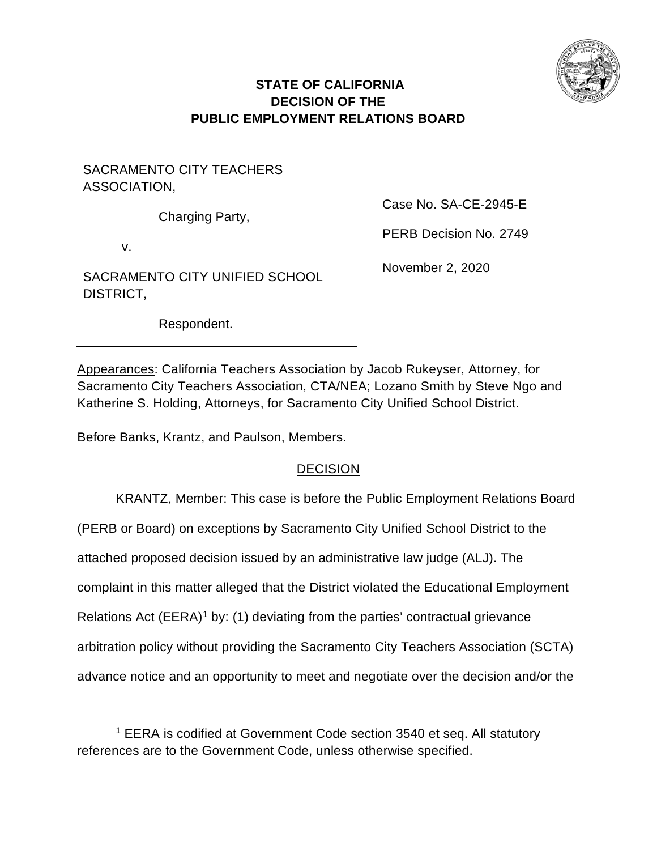

# **STATE OF CALIFORNIA DECISION OF THE PUBLIC EMPLOYMENT RELATIONS BOARD**

SACRAMENTO CITY TEACHERS ASSOCIATION,

Charging Party,

v.

SACRAMENTO CITY UNIFIED SCHOOL DISTRICT,

Case No. SA-CE-2945-E

PERB Decision No. 2749

November 2, 2020

Respondent.

Appearances: California Teachers Association by Jacob Rukeyser, Attorney, for Sacramento City Teachers Association, CTA/NEA; Lozano Smith by Steve Ngo and Katherine S. Holding, Attorneys, for Sacramento City Unified School District.

Before Banks, Krantz, and Paulson, Members.

# **DECISION**

KRANTZ, Member: This case is before the Public Employment Relations Board

(PERB or Board) on exceptions by Sacramento City Unified School District to the

attached proposed decision issued by an administrative law judge (ALJ). The

complaint in this matter alleged that the District violated the Educational Employment

Relations Act (EERA)<sup>[1](#page-0-0)</sup> by: (1) deviating from the parties' contractual grievance

arbitration policy without providing the Sacramento City Teachers Association (SCTA)

advance notice and an opportunity to meet and negotiate over the decision and/or the

<span id="page-0-0"></span><sup>&</sup>lt;sup>1</sup> EERA is codified at Government Code section 3540 et seq. All statutory references are to the Government Code, unless otherwise specified.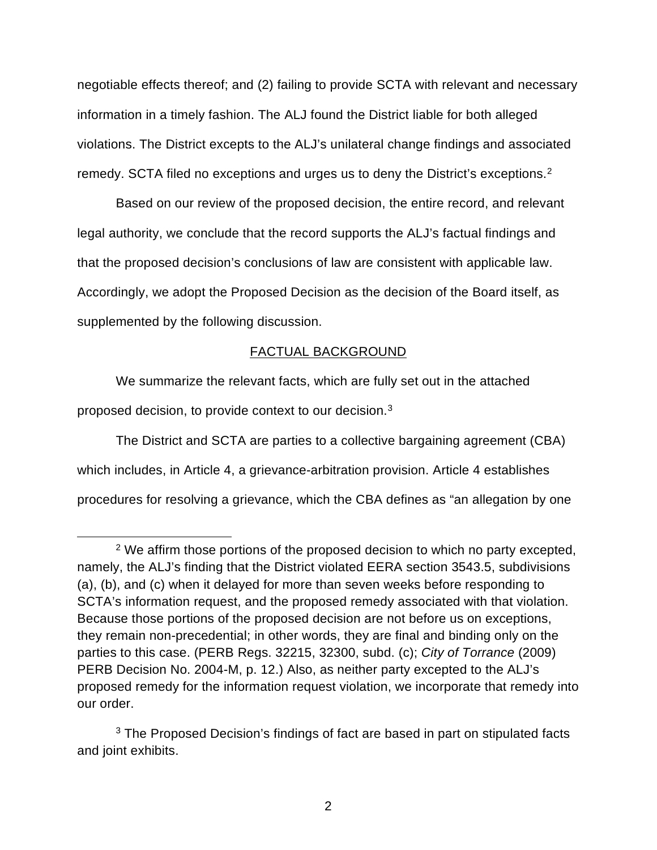negotiable effects thereof; and (2) failing to provide SCTA with relevant and necessary information in a timely fashion. The ALJ found the District liable for both alleged violations. The District excepts to the ALJ's unilateral change findings and associated remedy. SCTA filed no exceptions and urges us to deny the District's exceptions.[2](#page-1-0)

Based on our review of the proposed decision, the entire record, and relevant legal authority, we conclude that the record supports the ALJ's factual findings and that the proposed decision's conclusions of law are consistent with applicable law. Accordingly, we adopt the Proposed Decision as the decision of the Board itself, as supplemented by the following discussion.

# FACTUAL BACKGROUND

We summarize the relevant facts, which are fully set out in the attached proposed decision, to provide context to our decision.[3](#page-1-1)

The District and SCTA are parties to a collective bargaining agreement (CBA) which includes, in Article 4, a grievance-arbitration provision. Article 4 establishes procedures for resolving a grievance, which the CBA defines as "an allegation by one

<span id="page-1-0"></span><sup>&</sup>lt;sup>2</sup> We affirm those portions of the proposed decision to which no party excepted, namely, the ALJ's finding that the District violated EERA section 3543.5, subdivisions (a), (b), and (c) when it delayed for more than seven weeks before responding to SCTA's information request, and the proposed remedy associated with that violation. Because those portions of the proposed decision are not before us on exceptions, they remain non-precedential; in other words, they are final and binding only on the parties to this case. (PERB Regs. 32215, 32300, subd. (c); *City of Torrance* (2009) PERB Decision No. 2004-M, p. 12.) Also, as neither party excepted to the ALJ's proposed remedy for the information request violation, we incorporate that remedy into our order.

<span id="page-1-1"></span><sup>&</sup>lt;sup>3</sup> The Proposed Decision's findings of fact are based in part on stipulated facts and joint exhibits.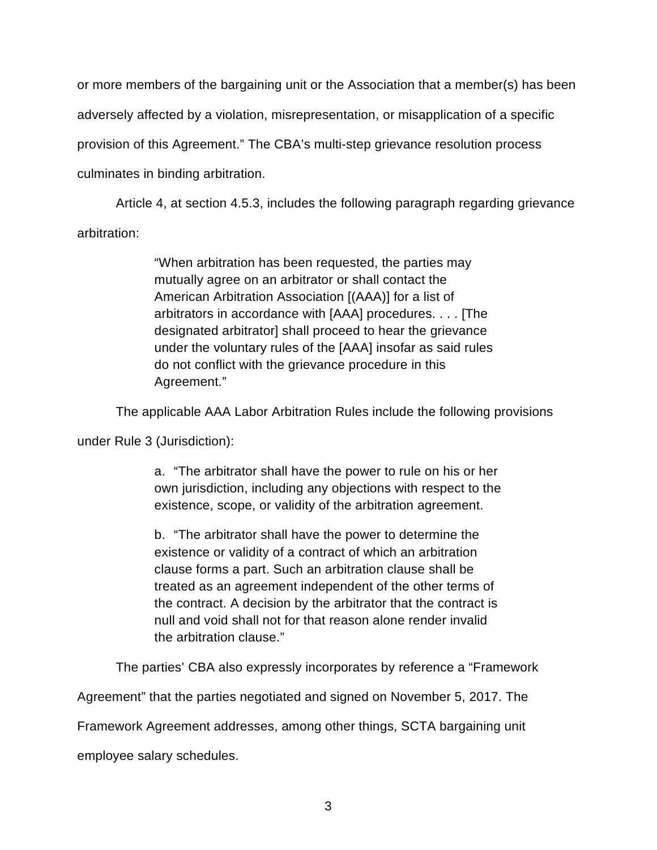or more members of the bargaining unit or the Association that a member(s) has been adversely affected by a violation, misrepresentation, or misapplication of a specific provision of this Agreement." The CBA's multi-step grievance resolution process culminates in binding arbitration.

Article 4, at section 4.5.3, includes the following paragraph regarding grievance arbitration:

> "When arbitration has been requested, the parties may mutually agree on an arbitrator or shall contact the American Arbitration Association [(AAA)] for a list of arbitrators in accordance with [AAA] procedures. . . . [The designated arbitrator] shall proceed to hear the grievance under the voluntary rules of the [AAA] insofar as said rules do not conflict with the grievance procedure in this Agreement."

The applicable AAA Labor Arbitration Rules include the following provisions

under Rule 3 (Jurisdiction):

a. "The arbitrator shall have the power to rule on his or her own jurisdiction, including any objections with respect to the existence, scope, or validity of the arbitration agreement.

b. "The arbitrator shall have the power to determine the existence or validity of a contract of which an arbitration clause forms a part. Such an arbitration clause shall be treated as an agreement independent of the other terms of the contract. A decision by the arbitrator that the contract is null and void shall not for that reason alone render invalid the arbitration clause."

The parties' CBA also expressly incorporates by reference a "Framework

Agreement" that the parties negotiated and signed on November 5, 2017. The

Framework Agreement addresses, among other things, SCTA bargaining unit

employee salary schedules.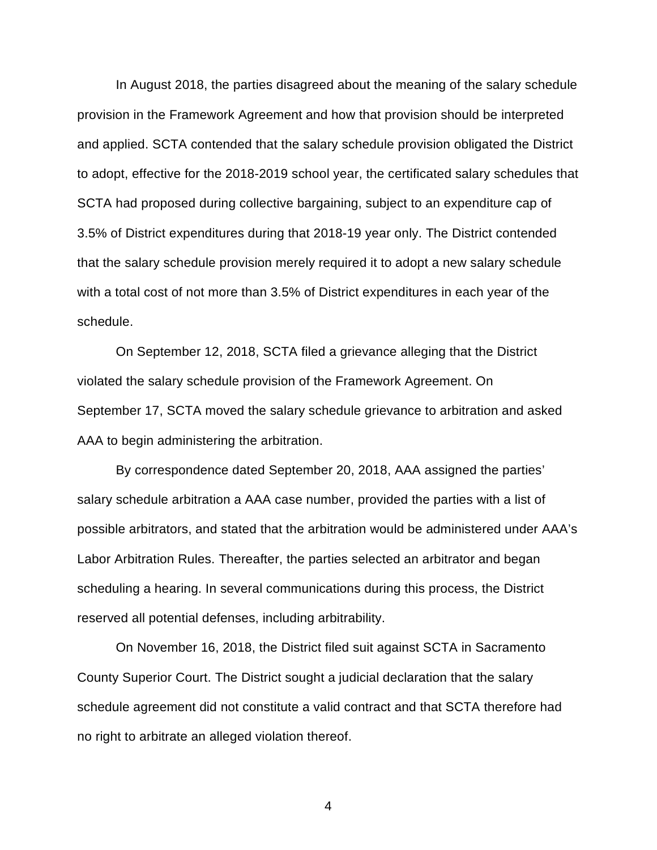In August 2018, the parties disagreed about the meaning of the salary schedule provision in the Framework Agreement and how that provision should be interpreted and applied. SCTA contended that the salary schedule provision obligated the District to adopt, effective for the 2018-2019 school year, the certificated salary schedules that SCTA had proposed during collective bargaining, subject to an expenditure cap of 3.5% of District expenditures during that 2018-19 year only. The District contended that the salary schedule provision merely required it to adopt a new salary schedule with a total cost of not more than 3.5% of District expenditures in each year of the schedule.

On September 12, 2018, SCTA filed a grievance alleging that the District violated the salary schedule provision of the Framework Agreement. On September 17, SCTA moved the salary schedule grievance to arbitration and asked AAA to begin administering the arbitration.

By correspondence dated September 20, 2018, AAA assigned the parties' salary schedule arbitration a AAA case number, provided the parties with a list of possible arbitrators, and stated that the arbitration would be administered under AAA's Labor Arbitration Rules. Thereafter, the parties selected an arbitrator and began scheduling a hearing. In several communications during this process, the District reserved all potential defenses, including arbitrability.

On November 16, 2018, the District filed suit against SCTA in Sacramento County Superior Court. The District sought a judicial declaration that the salary schedule agreement did not constitute a valid contract and that SCTA therefore had no right to arbitrate an alleged violation thereof.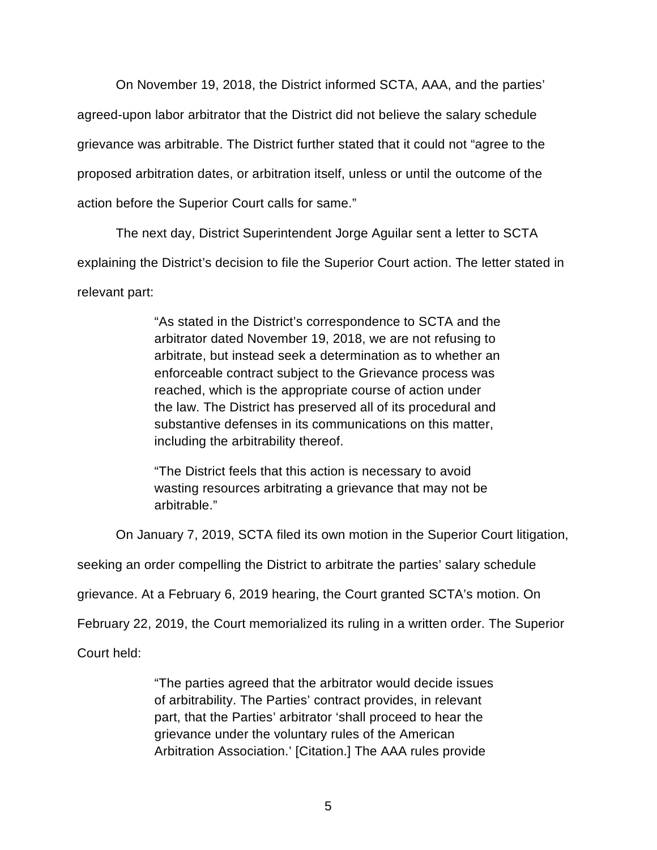On November 19, 2018, the District informed SCTA, AAA, and the parties' agreed-upon labor arbitrator that the District did not believe the salary schedule grievance was arbitrable. The District further stated that it could not "agree to the proposed arbitration dates, or arbitration itself, unless or until the outcome of the action before the Superior Court calls for same."

The next day, District Superintendent Jorge Aguilar sent a letter to SCTA explaining the District's decision to file the Superior Court action. The letter stated in relevant part:

> "As stated in the District's correspondence to SCTA and the arbitrator dated November 19, 2018, we are not refusing to arbitrate, but instead seek a determination as to whether an enforceable contract subject to the Grievance process was reached, which is the appropriate course of action under the law. The District has preserved all of its procedural and substantive defenses in its communications on this matter, including the arbitrability thereof.

"The District feels that this action is necessary to avoid wasting resources arbitrating a grievance that may not be arbitrable."

On January 7, 2019, SCTA filed its own motion in the Superior Court litigation,

seeking an order compelling the District to arbitrate the parties' salary schedule

grievance. At a February 6, 2019 hearing, the Court granted SCTA's motion. On

February 22, 2019, the Court memorialized its ruling in a written order. The Superior

Court held:

"The parties agreed that the arbitrator would decide issues of arbitrability. The Parties' contract provides, in relevant part, that the Parties' arbitrator 'shall proceed to hear the grievance under the voluntary rules of the American Arbitration Association.' [Citation.] The AAA rules provide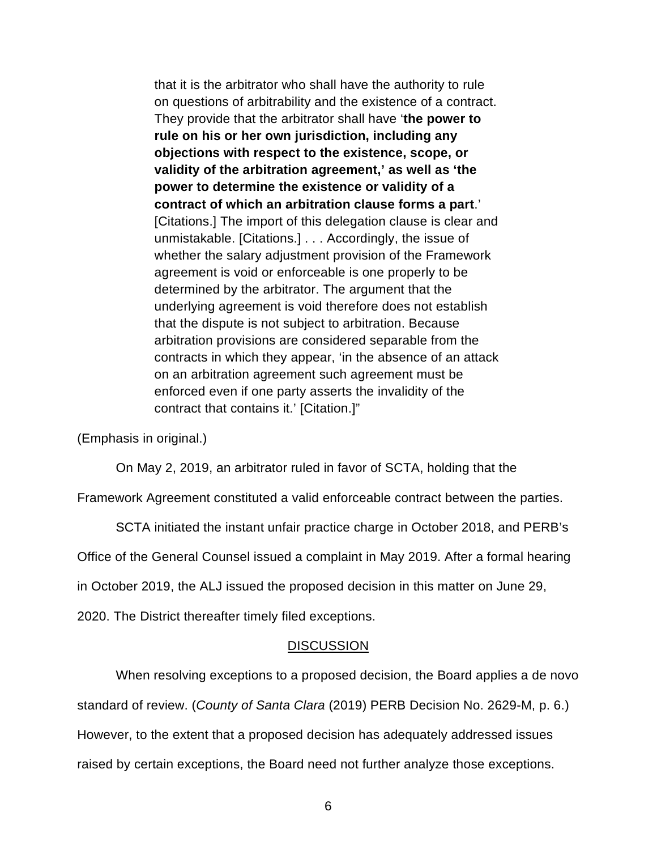that it is the arbitrator who shall have the authority to rule on questions of arbitrability and the existence of a contract. They provide that the arbitrator shall have '**the power to rule on his or her own jurisdiction, including any objections with respect to the existence, scope, or validity of the arbitration agreement,' as well as 'the power to determine the existence or validity of a contract of which an arbitration clause forms a part**.' [Citations.] The import of this delegation clause is clear and unmistakable. [Citations.] . . . Accordingly, the issue of whether the salary adjustment provision of the Framework agreement is void or enforceable is one properly to be determined by the arbitrator. The argument that the underlying agreement is void therefore does not establish that the dispute is not subject to arbitration. Because arbitration provisions are considered separable from the contracts in which they appear, 'in the absence of an attack on an arbitration agreement such agreement must be enforced even if one party asserts the invalidity of the contract that contains it.' [Citation.]"

(Emphasis in original.)

On May 2, 2019, an arbitrator ruled in favor of SCTA, holding that the

Framework Agreement constituted a valid enforceable contract between the parties.

SCTA initiated the instant unfair practice charge in October 2018, and PERB's Office of the General Counsel issued a complaint in May 2019. After a formal hearing in October 2019, the ALJ issued the proposed decision in this matter on June 29, 2020. The District thereafter timely filed exceptions.

## **DISCUSSION**

When resolving exceptions to a proposed decision, the Board applies a de novo standard of review. (*County of Santa Clara* (2019) PERB Decision No. 2629-M, p. 6.) However, to the extent that a proposed decision has adequately addressed issues raised by certain exceptions, the Board need not further analyze those exceptions.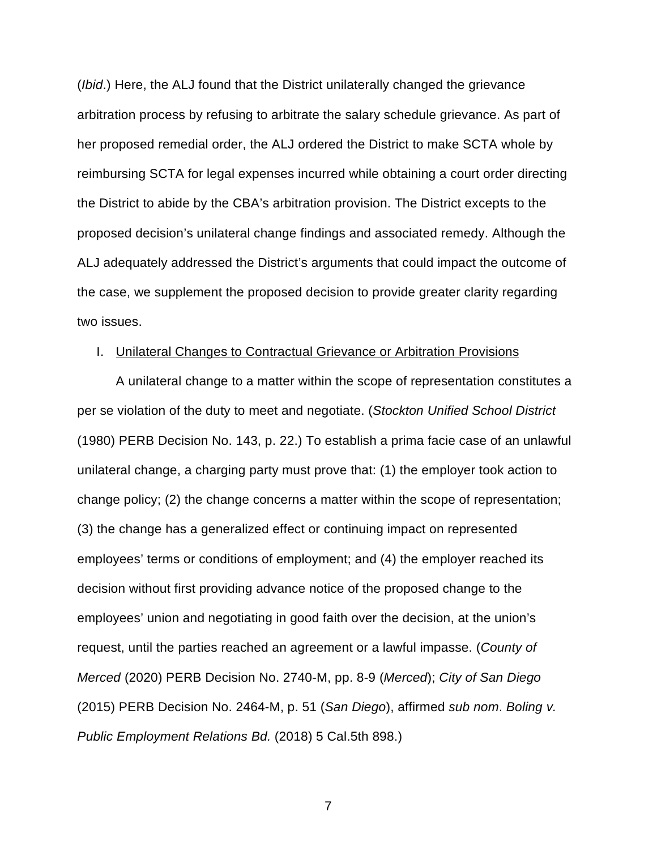(*Ibid*.) Here, the ALJ found that the District unilaterally changed the grievance arbitration process by refusing to arbitrate the salary schedule grievance. As part of her proposed remedial order, the ALJ ordered the District to make SCTA whole by reimbursing SCTA for legal expenses incurred while obtaining a court order directing the District to abide by the CBA's arbitration provision. The District excepts to the proposed decision's unilateral change findings and associated remedy. Although the ALJ adequately addressed the District's arguments that could impact the outcome of the case, we supplement the proposed decision to provide greater clarity regarding two issues.

### I. Unilateral Changes to Contractual Grievance or Arbitration Provisions

A unilateral change to a matter within the scope of representation constitutes a per se violation of the duty to meet and negotiate. (*Stockton Unified School District*  (1980) PERB Decision No. 143, p. 22.) To establish a prima facie case of an unlawful unilateral change, a charging party must prove that: (1) the employer took action to change policy; (2) the change concerns a matter within the scope of representation; (3) the change has a generalized effect or continuing impact on represented employees' terms or conditions of employment; and (4) the employer reached its decision without first providing advance notice of the proposed change to the employees' union and negotiating in good faith over the decision, at the union's request, until the parties reached an agreement or a lawful impasse. (*County of Merced* (2020) PERB Decision No. 2740-M, pp. 8-9 (*Merced*); *City of San Diego*  (2015) PERB Decision No. 2464-M, p. 51 (*San Diego*), affirmed *sub nom*. *Boling v. Public Employment Relations Bd.* (2018) 5 Cal.5th 898.)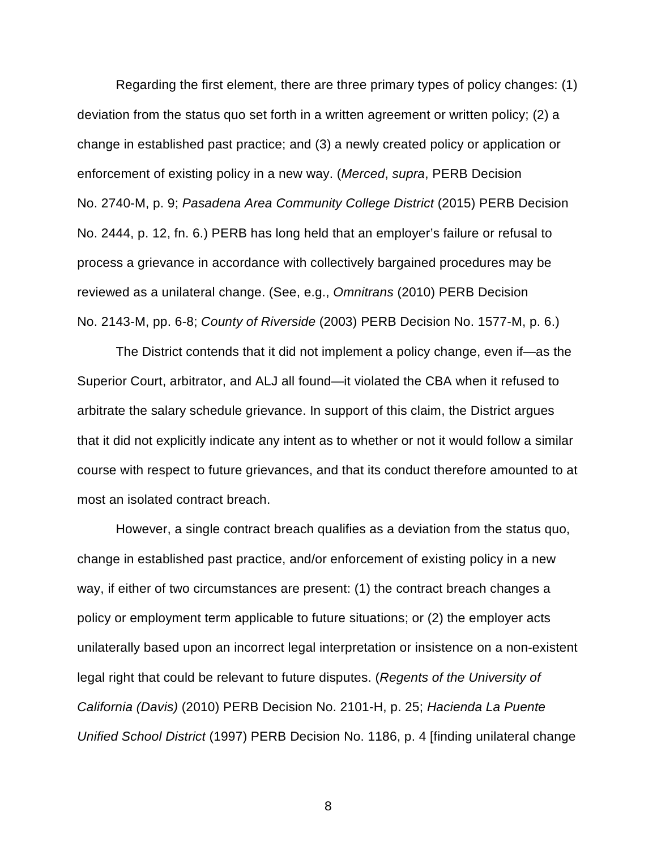Regarding the first element, there are three primary types of policy changes: (1) deviation from the status quo set forth in a written agreement or written policy; (2) a change in established past practice; and (3) a newly created policy or application or enforcement of existing policy in a new way. (*Merced*, *supra*, PERB Decision No. 2740-M, p. 9; *Pasadena Area Community College District* (2015) PERB Decision No. 2444, p. 12, fn. 6.) PERB has long held that an employer's failure or refusal to process a grievance in accordance with collectively bargained procedures may be reviewed as a unilateral change. (See, e.g., *Omnitrans* (2010) PERB Decision No. 2143-M, pp. 6-8; *County of Riverside* (2003) PERB Decision No. 1577-M, p. 6.)

The District contends that it did not implement a policy change, even if—as the Superior Court, arbitrator, and ALJ all found—it violated the CBA when it refused to arbitrate the salary schedule grievance. In support of this claim, the District argues that it did not explicitly indicate any intent as to whether or not it would follow a similar course with respect to future grievances, and that its conduct therefore amounted to at most an isolated contract breach.

However, a single contract breach qualifies as a deviation from the status quo, change in established past practice, and/or enforcement of existing policy in a new way, if either of two circumstances are present: (1) the contract breach changes a policy or employment term applicable to future situations; or (2) the employer acts unilaterally based upon an incorrect legal interpretation or insistence on a non-existent legal right that could be relevant to future disputes. (*Regents of the University of California (Davis)* (2010) PERB Decision No. 2101-H, p. 25; *Hacienda La Puente Unified School District* (1997) PERB Decision No. 1186, p. 4 [finding unilateral change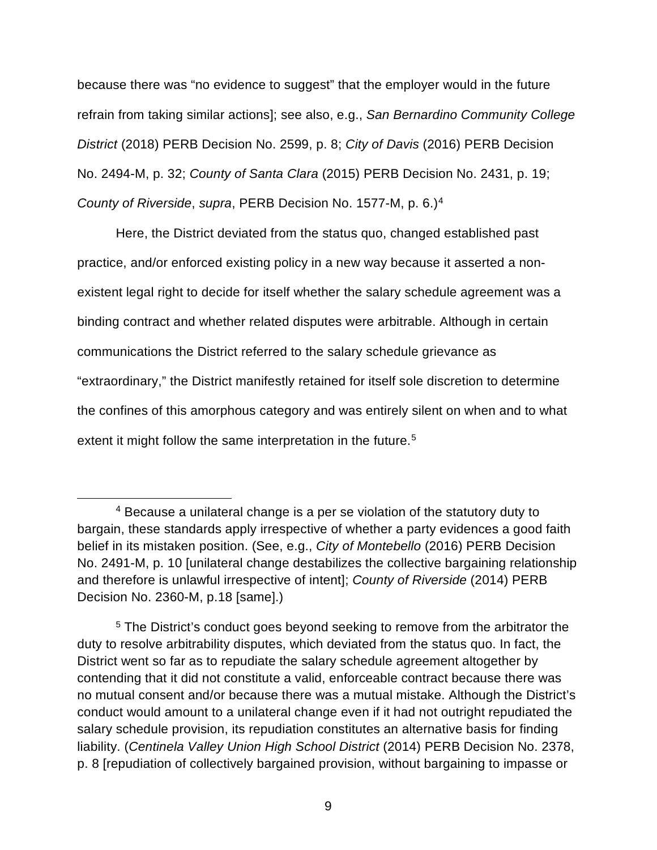because there was "no evidence to suggest" that the employer would in the future refrain from taking similar actions]; see also, e.g., *San Bernardino Community College District* (2018) PERB Decision No. 2599, p. 8; *City of Davis* (2016) PERB Decision No. 2494-M, p. 32; *County of Santa Clara* (2015) PERB Decision No. 2431, p. 19; *County of Riverside*, *supra*, PERB Decision No. 1577-M, p. 6.)[4](#page-8-0)

Here, the District deviated from the status quo, changed established past practice, and/or enforced existing policy in a new way because it asserted a nonexistent legal right to decide for itself whether the salary schedule agreement was a binding contract and whether related disputes were arbitrable. Although in certain communications the District referred to the salary schedule grievance as "extraordinary," the District manifestly retained for itself sole discretion to determine the confines of this amorphous category and was entirely silent on when and to what extent it might follow the same interpretation in the future. [5](#page-8-1)

<span id="page-8-0"></span><sup>4</sup> Because a unilateral change is a per se violation of the statutory duty to bargain, these standards apply irrespective of whether a party evidences a good faith belief in its mistaken position. (See, e.g., *City of Montebello* (2016) PERB Decision No. 2491-M, p. 10 [unilateral change destabilizes the collective bargaining relationship and therefore is unlawful irrespective of intent]; *County of Riverside* (2014) PERB Decision No. 2360-M, p.18 [same].)

<span id="page-8-1"></span><sup>5</sup> The District's conduct goes beyond seeking to remove from the arbitrator the duty to resolve arbitrability disputes, which deviated from the status quo. In fact, the District went so far as to repudiate the salary schedule agreement altogether by contending that it did not constitute a valid, enforceable contract because there was no mutual consent and/or because there was a mutual mistake. Although the District's conduct would amount to a unilateral change even if it had not outright repudiated the salary schedule provision, its repudiation constitutes an alternative basis for finding liability. (*Centinela Valley Union High School District* (2014) PERB Decision No. 2378, p. 8 [repudiation of collectively bargained provision, without bargaining to impasse or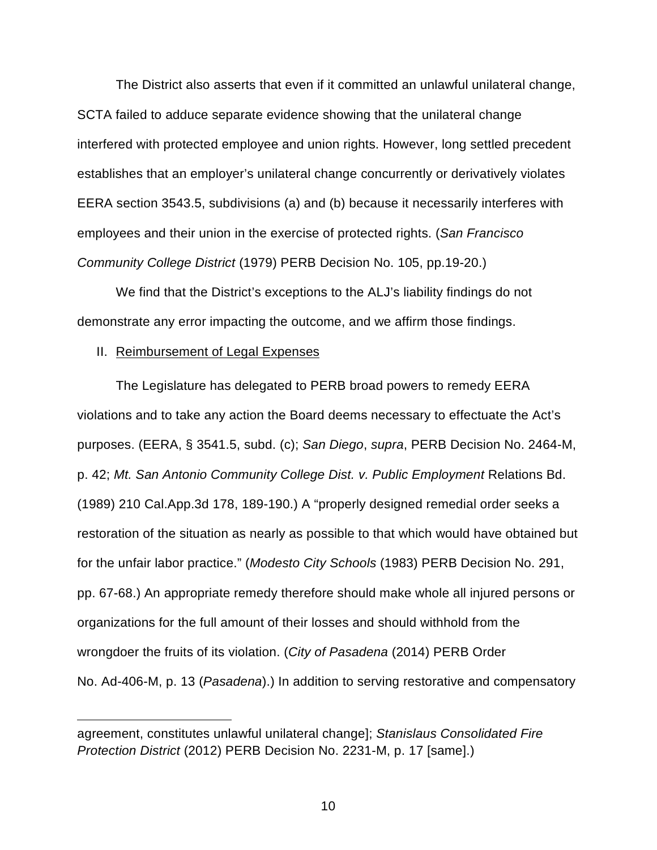The District also asserts that even if it committed an unlawful unilateral change, SCTA failed to adduce separate evidence showing that the unilateral change interfered with protected employee and union rights. However, long settled precedent establishes that an employer's unilateral change concurrently or derivatively violates EERA section 3543.5, subdivisions (a) and (b) because it necessarily interferes with employees and their union in the exercise of protected rights. (*San Francisco Community College District* (1979) PERB Decision No. 105, pp.19-20.)

We find that the District's exceptions to the ALJ's liability findings do not demonstrate any error impacting the outcome, and we affirm those findings.

## II. Reimbursement of Legal Expenses

The Legislature has delegated to PERB broad powers to remedy EERA violations and to take any action the Board deems necessary to effectuate the Act's purposes. (EERA, § 3541.5, subd. (c); *San Diego*, *supra*, PERB Decision No. 2464-M, p. 42; *Mt. San Antonio Community College Dist. v. Public Employment* Relations Bd. (1989) 210 Cal.App.3d 178, 189-190.) A "properly designed remedial order seeks a restoration of the situation as nearly as possible to that which would have obtained but for the unfair labor practice." (*Modesto City Schools* (1983) PERB Decision No. 291, pp. 67-68.) An appropriate remedy therefore should make whole all injured persons or organizations for the full amount of their losses and should withhold from the wrongdoer the fruits of its violation. (*City of Pasadena* (2014) PERB Order No. Ad-406-M, p. 13 (*Pasadena*).) In addition to serving restorative and compensatory

agreement, constitutes unlawful unilateral change]; *Stanislaus Consolidated Fire Protection District* (2012) PERB Decision No. 2231-M, p. 17 [same].)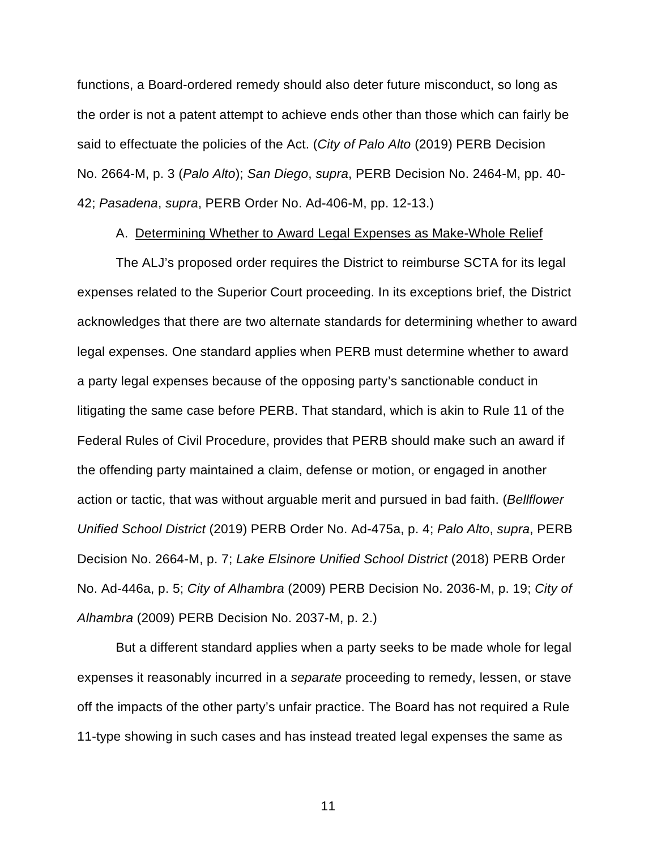functions, a Board-ordered remedy should also deter future misconduct, so long as the order is not a patent attempt to achieve ends other than those which can fairly be said to effectuate the policies of the Act. (*City of Palo Alto* (2019) PERB Decision No. 2664-M, p. 3 (*Palo Alto*); *San Diego*, *supra*, PERB Decision No. 2464-M, pp. 40- 42; *Pasadena*, *supra*, PERB Order No. Ad-406-M, pp. 12-13.)

## A. Determining Whether to Award Legal Expenses as Make-Whole Relief

The ALJ's proposed order requires the District to reimburse SCTA for its legal expenses related to the Superior Court proceeding. In its exceptions brief, the District acknowledges that there are two alternate standards for determining whether to award legal expenses. One standard applies when PERB must determine whether to award a party legal expenses because of the opposing party's sanctionable conduct in litigating the same case before PERB. That standard, which is akin to Rule 11 of the Federal Rules of Civil Procedure, provides that PERB should make such an award if the offending party maintained a claim, defense or motion, or engaged in another action or tactic, that was without arguable merit and pursued in bad faith. (*Bellflower Unified School District* (2019) PERB Order No. Ad-475a, p. 4; *Palo Alto*, *supra*, PERB Decision No. 2664-M, p. 7; *Lake Elsinore Unified School District* (2018) PERB Order No. Ad-446a, p. 5; *City of Alhambra* (2009) PERB Decision No. 2036-M, p. 19; *City of Alhambra* (2009) PERB Decision No. 2037-M, p. 2.)

But a different standard applies when a party seeks to be made whole for legal expenses it reasonably incurred in a *separate* proceeding to remedy, lessen, or stave off the impacts of the other party's unfair practice. The Board has not required a Rule 11-type showing in such cases and has instead treated legal expenses the same as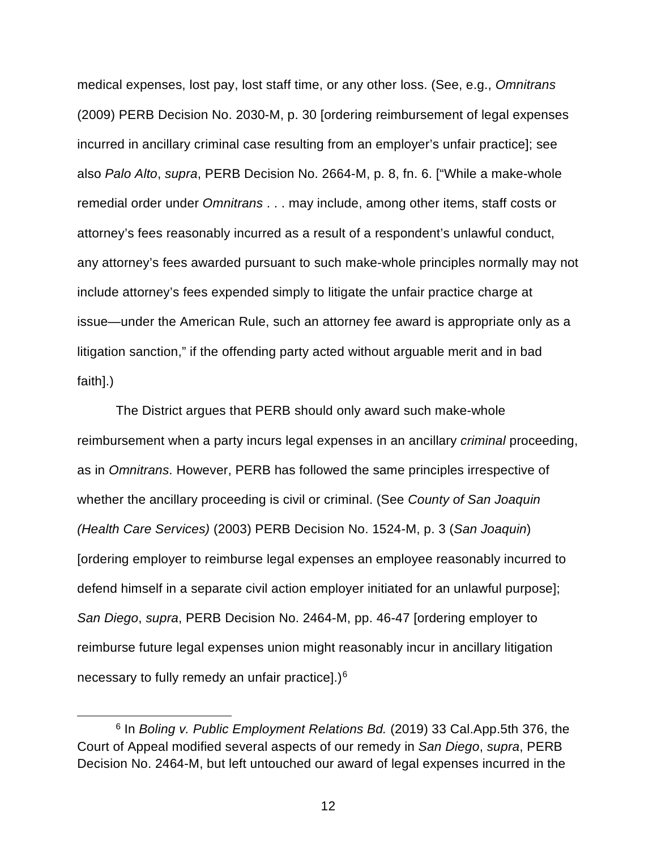medical expenses, lost pay, lost staff time, or any other loss. (See, e.g., *Omnitrans* (2009) PERB Decision No. 2030-M, p. 30 [ordering reimbursement of legal expenses incurred in ancillary criminal case resulting from an employer's unfair practice]; see also *Palo Alto*, *supra*, PERB Decision No. 2664-M, p. 8, fn. 6. ["While a make-whole remedial order under *Omnitrans* . . . may include, among other items, staff costs or attorney's fees reasonably incurred as a result of a respondent's unlawful conduct, any attorney's fees awarded pursuant to such make-whole principles normally may not include attorney's fees expended simply to litigate the unfair practice charge at issue—under the American Rule, such an attorney fee award is appropriate only as a litigation sanction," if the offending party acted without arguable merit and in bad faith].)

The District argues that PERB should only award such make-whole reimbursement when a party incurs legal expenses in an ancillary *criminal* proceeding, as in *Omnitrans*. However, PERB has followed the same principles irrespective of whether the ancillary proceeding is civil or criminal. (See *County of San Joaquin (Health Care Services)* (2003) PERB Decision No. 1524-M, p. 3 (*San Joaquin*) [ordering employer to reimburse legal expenses an employee reasonably incurred to defend himself in a separate civil action employer initiated for an unlawful purpose]; *San Diego*, *supra*, PERB Decision No. 2464-M, pp. 46-47 [ordering employer to reimburse future legal expenses union might reasonably incur in ancillary litigation necessary to fully remedy an unfair practice].)[6](#page-11-0)

<span id="page-11-0"></span><sup>6</sup> In *Boling v. Public Employment Relations Bd.* (2019) 33 Cal.App.5th 376, the Court of Appeal modified several aspects of our remedy in *San Diego*, *supra*, PERB Decision No. 2464-M, but left untouched our award of legal expenses incurred in the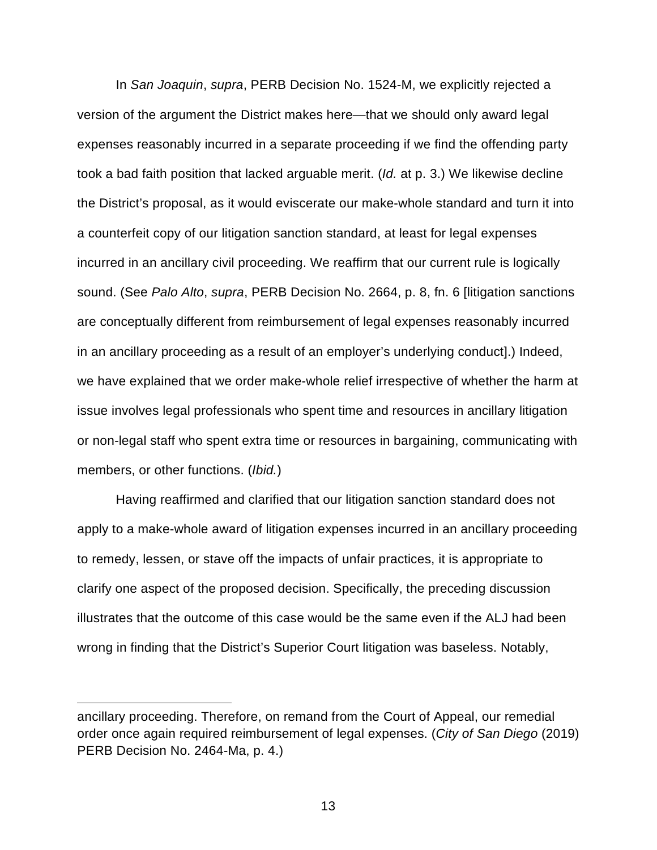In *San Joaquin*, *supra*, PERB Decision No. 1524-M, we explicitly rejected a version of the argument the District makes here—that we should only award legal expenses reasonably incurred in a separate proceeding if we find the offending party took a bad faith position that lacked arguable merit. (*Id.* at p. 3.) We likewise decline the District's proposal, as it would eviscerate our make-whole standard and turn it into a counterfeit copy of our litigation sanction standard, at least for legal expenses incurred in an ancillary civil proceeding. We reaffirm that our current rule is logically sound. (See *Palo Alto*, *supra*, PERB Decision No. 2664, p. 8, fn. 6 [litigation sanctions are conceptually different from reimbursement of legal expenses reasonably incurred in an ancillary proceeding as a result of an employer's underlying conduct].) Indeed, we have explained that we order make-whole relief irrespective of whether the harm at issue involves legal professionals who spent time and resources in ancillary litigation or non-legal staff who spent extra time or resources in bargaining, communicating with members, or other functions. (*Ibid.*)

Having reaffirmed and clarified that our litigation sanction standard does not apply to a make-whole award of litigation expenses incurred in an ancillary proceeding to remedy, lessen, or stave off the impacts of unfair practices, it is appropriate to clarify one aspect of the proposed decision. Specifically, the preceding discussion illustrates that the outcome of this case would be the same even if the ALJ had been wrong in finding that the District's Superior Court litigation was baseless. Notably,

ancillary proceeding. Therefore, on remand from the Court of Appeal, our remedial order once again required reimbursement of legal expenses. (*City of San Diego* (2019) PERB Decision No. 2464-Ma, p. 4.)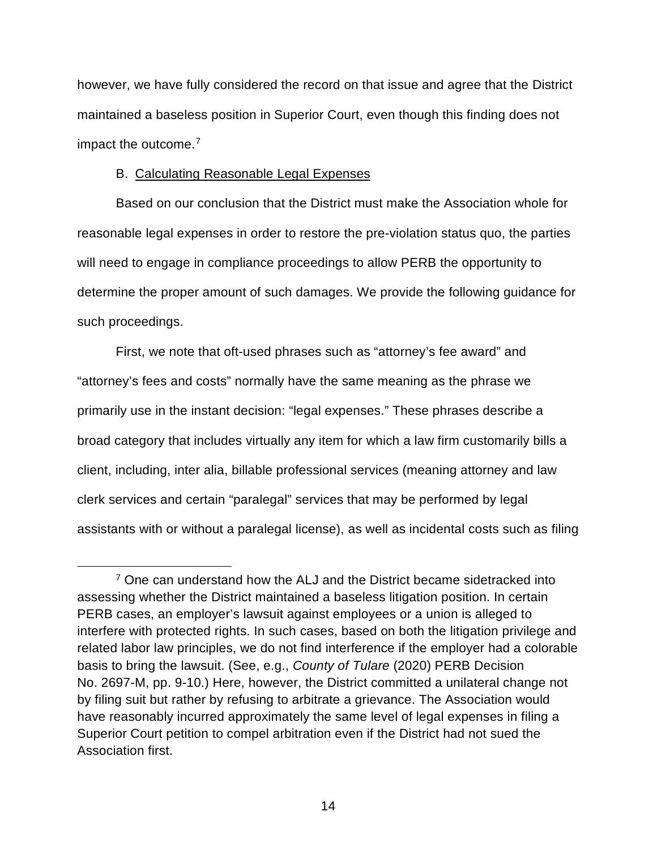however, we have fully considered the record on that issue and agree that the District maintained a baseless position in Superior Court, even though this finding does not impact the outcome.[7](#page-13-0)

# B. Calculating Reasonable Legal Expenses

Based on our conclusion that the District must make the Association whole for reasonable legal expenses in order to restore the pre-violation status quo, the parties will need to engage in compliance proceedings to allow PERB the opportunity to determine the proper amount of such damages. We provide the following guidance for such proceedings.

First, we note that oft-used phrases such as "attorney's fee award" and "attorney's fees and costs" normally have the same meaning as the phrase we primarily use in the instant decision: "legal expenses." These phrases describe a broad category that includes virtually any item for which a law firm customarily bills a client, including, inter alia, billable professional services (meaning attorney and law clerk services and certain "paralegal" services that may be performed by legal assistants with or without a paralegal license), as well as incidental costs such as filing

<span id="page-13-0"></span><sup>&</sup>lt;sup>7</sup> One can understand how the ALJ and the District became sidetracked into assessing whether the District maintained a baseless litigation position. In certain PERB cases, an employer's lawsuit against employees or a union is alleged to interfere with protected rights. In such cases, based on both the litigation privilege and related labor law principles, we do not find interference if the employer had a colorable basis to bring the lawsuit. (See, e.g., *County of Tulare* (2020) PERB Decision No. 2697-M, pp. 9-10.) Here, however, the District committed a unilateral change not by filing suit but rather by refusing to arbitrate a grievance. The Association would have reasonably incurred approximately the same level of legal expenses in filing a Superior Court petition to compel arbitration even if the District had not sued the Association first.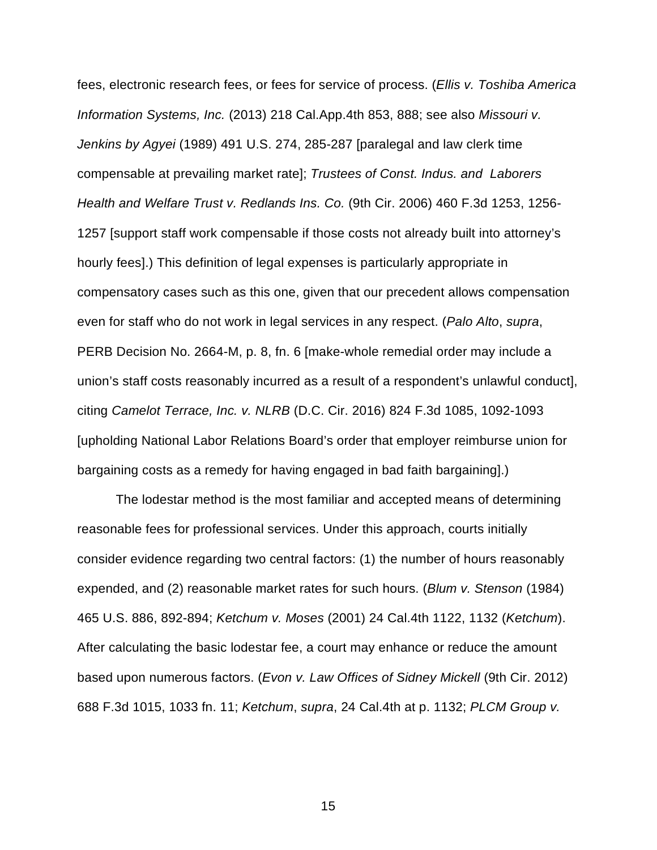fees, electronic research fees, or fees for service of process. (*Ellis v. Toshiba America Information Systems, Inc.* (2013) 218 Cal.App.4th 853, 888; see also *Missouri v. Jenkins by Agyei* (1989) 491 U.S. 274, 285-287 [paralegal and law clerk time compensable at prevailing market rate]; *Trustees of Const. Indus. and Laborers Health and Welfare Trust v. Redlands Ins. Co.* (9th Cir. 2006) 460 F.3d 1253, 1256- 1257 [support staff work compensable if those costs not already built into attorney's hourly fees].) This definition of legal expenses is particularly appropriate in compensatory cases such as this one, given that our precedent allows compensation even for staff who do not work in legal services in any respect. (*Palo Alto*, *supra*, PERB Decision No. 2664-M, p. 8, fn. 6 [make-whole remedial order may include a union's staff costs reasonably incurred as a result of a respondent's unlawful conduct], citing *Camelot Terrace, Inc. v. NLRB* (D.C. Cir. 2016) 824 F.3d 1085, 1092-1093 [upholding National Labor Relations Board's order that employer reimburse union for bargaining costs as a remedy for having engaged in bad faith bargaining].)

The lodestar method is the most familiar and accepted means of determining reasonable fees for professional services. Under this approach, courts initially consider evidence regarding two central factors: (1) the number of hours reasonably expended, and (2) reasonable market rates for such hours. (*Blum v. Stenson* (1984) 465 U.S. 886, 892-894; *Ketchum v. Moses* (2001) 24 Cal.4th 1122, 1132 (*Ketchum*). After calculating the basic lodestar fee, a court may enhance or reduce the amount based upon numerous factors. (*Evon v. Law Offices of Sidney Mickell* (9th Cir. 2012) 688 F.3d 1015, 1033 fn. 11; *Ketchum*, *supra*, 24 Cal.4th at p. 1132; *PLCM Group v.*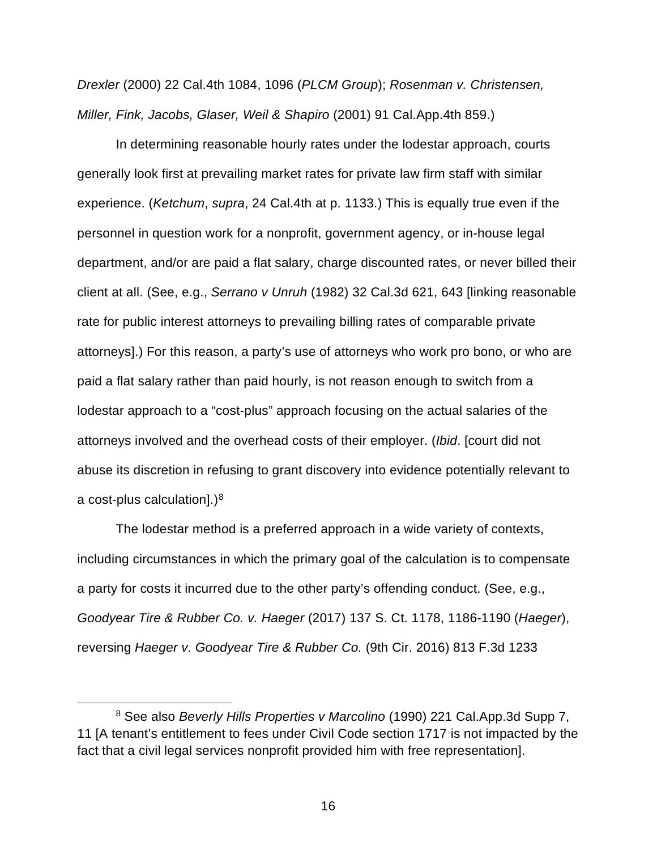*Drexler* (2000) 22 Cal.4th 1084, 1096 (*PLCM Group*); *Rosenman v. Christensen, Miller, Fink, Jacobs, Glaser, Weil & Shapiro* (2001) 91 Cal.App.4th 859.)

In determining reasonable hourly rates under the lodestar approach, courts generally look first at prevailing market rates for private law firm staff with similar experience. (*Ketchum*, *supra*, 24 Cal.4th at p. 1133.) This is equally true even if the personnel in question work for a nonprofit, government agency, or in-house legal department, and/or are paid a flat salary, charge discounted rates, or never billed their client at all. (See, e.g., *Serrano v Unruh* (1982) 32 Cal.3d 621, 643 [linking reasonable rate for public interest attorneys to prevailing billing rates of comparable private attorneys].) For this reason, a party's use of attorneys who work pro bono, or who are paid a flat salary rather than paid hourly, is not reason enough to switch from a lodestar approach to a "cost-plus" approach focusing on the actual salaries of the attorneys involved and the overhead costs of their employer. (*Ibid*. [court did not abuse its discretion in refusing to grant discovery into evidence potentially relevant to a cost-plus calculation].) $8$ 

The lodestar method is a preferred approach in a wide variety of contexts, including circumstances in which the primary goal of the calculation is to compensate a party for costs it incurred due to the other party's offending conduct. (See, e.g., *Goodyear Tire & Rubber Co. v. Haeger* (2017) 137 S. Ct. 1178, 1186-1190 (*Haeger*), reversing *Haeger v. Goodyear Tire & Rubber Co.* (9th Cir. 2016) 813 F.3d 1233

<span id="page-15-0"></span><sup>8</sup> See also *Beverly Hills Properties v Marcolino* (1990) 221 Cal.App.3d Supp 7, 11 [A tenant's entitlement to fees under Civil Code section 1717 is not impacted by the fact that a civil legal services nonprofit provided him with free representation].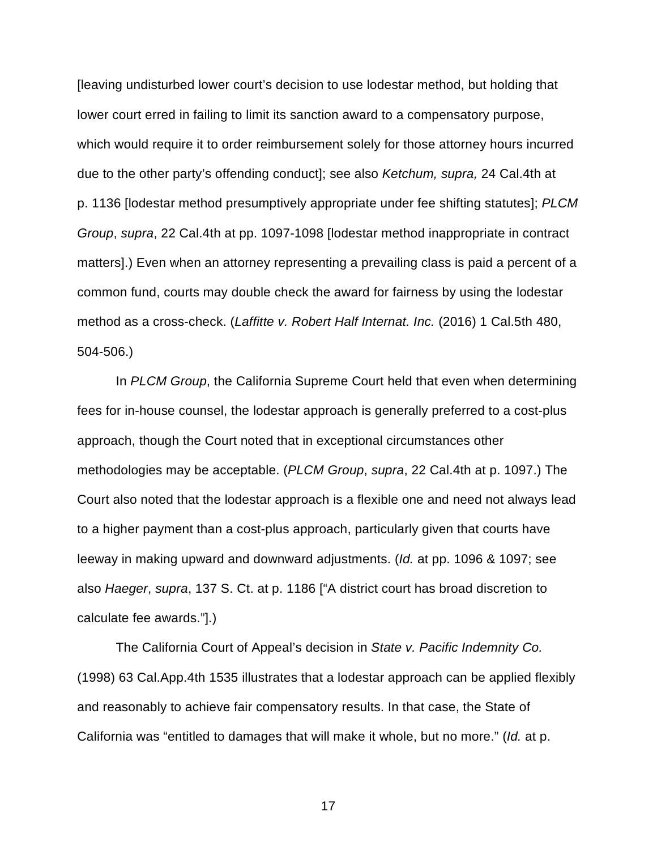[leaving undisturbed lower court's decision to use lodestar method, but holding that lower court erred in failing to limit its sanction award to a compensatory purpose, which would require it to order reimbursement solely for those attorney hours incurred due to the other party's offending conduct]; see also *Ketchum, supra,* 24 Cal.4th at p. 1136 [lodestar method presumptively appropriate under fee shifting statutes]; *PLCM Group*, *supra*, 22 Cal.4th at pp. 1097-1098 [lodestar method inappropriate in contract matters].) Even when an attorney representing a prevailing class is paid a percent of a common fund, courts may double check the award for fairness by using the lodestar method as a cross-check. (*Laffitte v. Robert Half Internat. Inc.* (2016) 1 Cal.5th 480, 504-506.)

In *PLCM Group*, the California Supreme Court held that even when determining fees for in-house counsel, the lodestar approach is generally preferred to a cost-plus approach, though the Court noted that in exceptional circumstances other methodologies may be acceptable. (*PLCM Group*, *supra*, 22 Cal.4th at p. 1097.) The Court also noted that the lodestar approach is a flexible one and need not always lead to a higher payment than a cost-plus approach, particularly given that courts have leeway in making upward and downward adjustments. (*Id.* at pp. 1096 & 1097; see also *Haeger*, *supra*, 137 S. Ct. at p. 1186 ["A district court has broad discretion to calculate fee awards."].)

The California Court of Appeal's decision in *State v. Pacific Indemnity Co.*  (1998) 63 Cal.App.4th 1535 illustrates that a lodestar approach can be applied flexibly and reasonably to achieve fair compensatory results. In that case, the State of California was "entitled to damages that will make it whole, but no more." (*Id.* at p.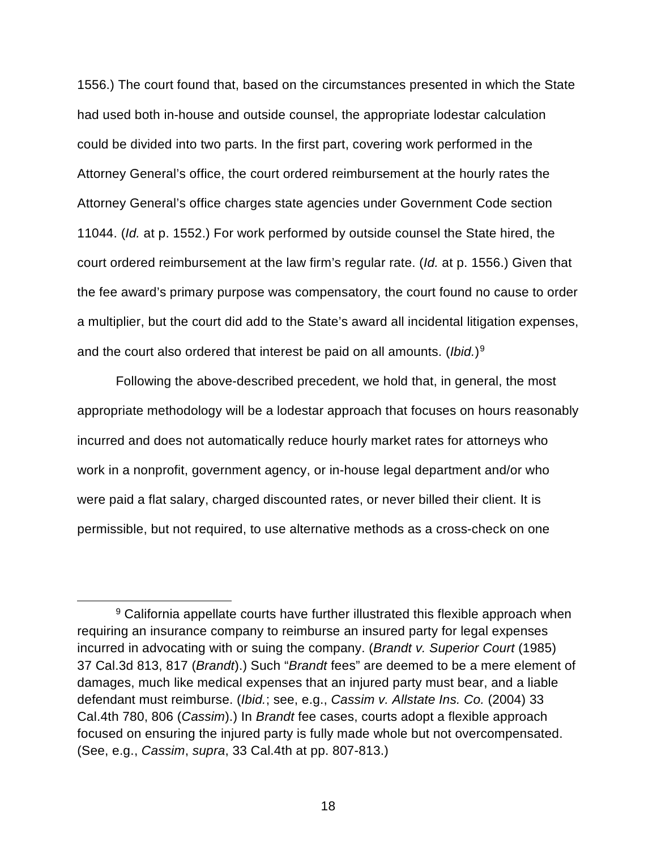1556.) The court found that, based on the circumstances presented in which the State had used both in-house and outside counsel, the appropriate lodestar calculation could be divided into two parts. In the first part, covering work performed in the Attorney General's office, the court ordered reimbursement at the hourly rates the Attorney General's office charges state agencies under Government Code section 11044. (*Id.* at p. 1552.) For work performed by outside counsel the State hired, the court ordered reimbursement at the law firm's regular rate. (*Id.* at p. 1556.) Given that the fee award's primary purpose was compensatory, the court found no cause to order a multiplier, but the court did add to the State's award all incidental litigation expenses, and the court also ordered that interest be paid on all amounts. (*Ibid.*)[9](#page-17-0)

Following the above-described precedent, we hold that, in general, the most appropriate methodology will be a lodestar approach that focuses on hours reasonably incurred and does not automatically reduce hourly market rates for attorneys who work in a nonprofit, government agency, or in-house legal department and/or who were paid a flat salary, charged discounted rates, or never billed their client. It is permissible, but not required, to use alternative methods as a cross-check on one

<span id="page-17-0"></span><sup>&</sup>lt;sup>9</sup> California appellate courts have further illustrated this flexible approach when requiring an insurance company to reimburse an insured party for legal expenses incurred in advocating with or suing the company. (*Brandt v. Superior Court* (1985) 37 Cal.3d 813, 817 (*Brandt*).) Such "*Brandt* fees" are deemed to be a mere element of damages, much like medical expenses that an injured party must bear, and a liable defendant must reimburse. (*Ibid.*; see, e.g., *Cassim v. Allstate Ins. Co.* (2004) 33 Cal.4th 780, 806 (*Cassim*).) In *Brandt* fee cases, courts adopt a flexible approach focused on ensuring the injured party is fully made whole but not overcompensated. (See, e.g., *Cassim*, *supra*, 33 Cal.4th at pp. 807-813.)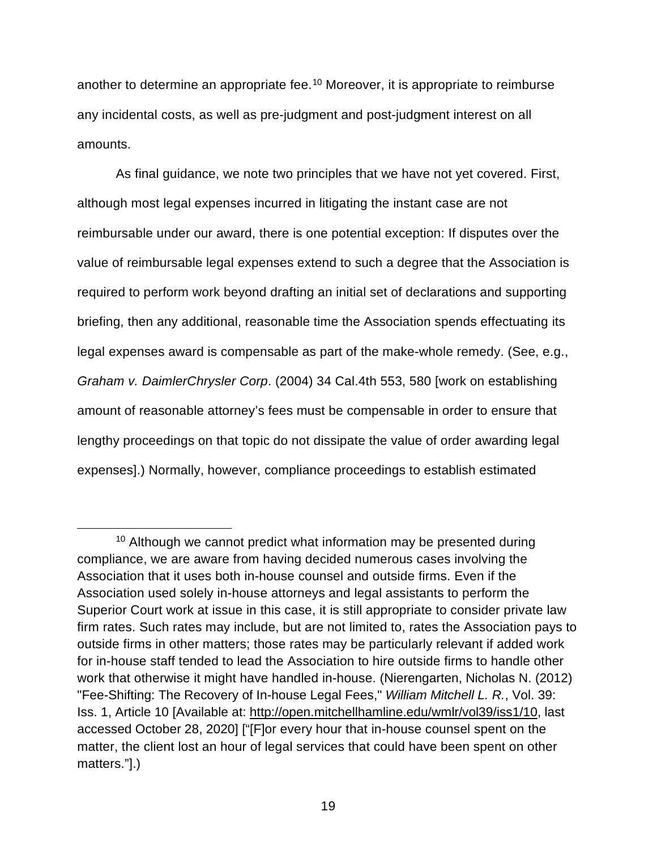another to determine an appropriate fee.[10](#page-18-0) Moreover, it is appropriate to reimburse any incidental costs, as well as pre-judgment and post-judgment interest on all amounts.

As final guidance, we note two principles that we have not yet covered. First, although most legal expenses incurred in litigating the instant case are not reimbursable under our award, there is one potential exception: If disputes over the value of reimbursable legal expenses extend to such a degree that the Association is required to perform work beyond drafting an initial set of declarations and supporting briefing, then any additional, reasonable time the Association spends effectuating its legal expenses award is compensable as part of the make-whole remedy. (See, e.g., *Graham v. DaimlerChrysler Corp*. (2004) 34 Cal.4th 553, 580 [work on establishing amount of reasonable attorney's fees must be compensable in order to ensure that lengthy proceedings on that topic do not dissipate the value of order awarding legal expenses].) Normally, however, compliance proceedings to establish estimated

<span id="page-18-0"></span> $10$  Although we cannot predict what information may be presented during compliance, we are aware from having decided numerous cases involving the Association that it uses both in-house counsel and outside firms. Even if the Association used solely in-house attorneys and legal assistants to perform the Superior Court work at issue in this case, it is still appropriate to consider private law firm rates. Such rates may include, but are not limited to, rates the Association pays to outside firms in other matters; those rates may be particularly relevant if added work for in-house staff tended to lead the Association to hire outside firms to handle other work that otherwise it might have handled in-house. (Nierengarten, Nicholas N. (2012) "Fee-Shifting: The Recovery of In-house Legal Fees," *William Mitchell L. R.*, Vol. 39: Iss. 1, Article 10 [Available at: [http://open.mitchellhamline.edu/wmlr/vol39/iss1/10,](http://open.mitchellhamline.edu/wmlr/vol39/iss1/10) last accessed October 28, 2020] ["[F]or every hour that in-house counsel spent on the matter, the client lost an hour of legal services that could have been spent on other matters."].)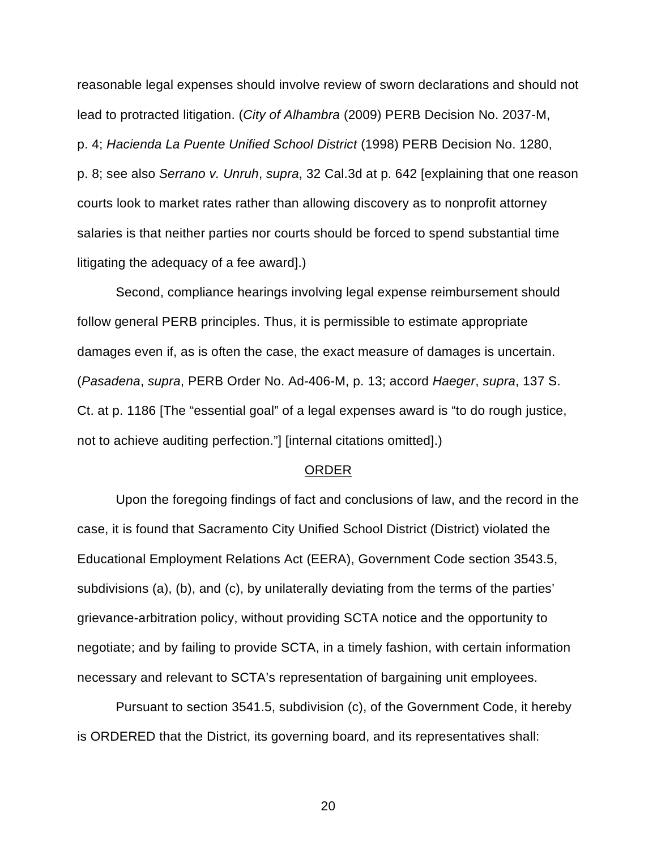reasonable legal expenses should involve review of sworn declarations and should not lead to protracted litigation. (*City of Alhambra* (2009) PERB Decision No. 2037-M, p. 4; *Hacienda La Puente Unified School District* (1998) PERB Decision No. 1280, p. 8; see also *Serrano v. Unruh*, *supra*, 32 Cal.3d at p. 642 [explaining that one reason courts look to market rates rather than allowing discovery as to nonprofit attorney salaries is that neither parties nor courts should be forced to spend substantial time litigating the adequacy of a fee award].)

Second, compliance hearings involving legal expense reimbursement should follow general PERB principles. Thus, it is permissible to estimate appropriate damages even if, as is often the case, the exact measure of damages is uncertain. (*Pasadena*, *supra*, PERB Order No. Ad-406-M, p. 13; accord *Haeger*, *supra*, 137 S. Ct. at p. 1186 [The "essential goal" of a legal expenses award is "to do rough justice, not to achieve auditing perfection."] [internal citations omitted].)

#### ORDER

Upon the foregoing findings of fact and conclusions of law, and the record in the case, it is found that Sacramento City Unified School District (District) violated the Educational Employment Relations Act (EERA), Government Code section 3543.5, subdivisions (a), (b), and (c), by unilaterally deviating from the terms of the parties' grievance-arbitration policy, without providing SCTA notice and the opportunity to negotiate; and by failing to provide SCTA, in a timely fashion, with certain information necessary and relevant to SCTA's representation of bargaining unit employees.

Pursuant to section 3541.5, subdivision (c), of the Government Code, it hereby is ORDERED that the District, its governing board, and its representatives shall: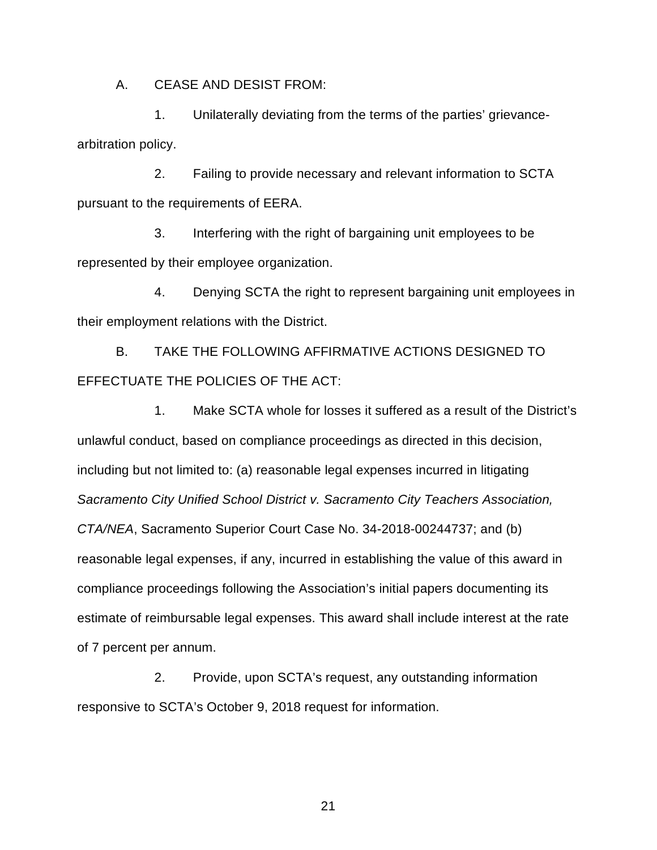A. CEASE AND DESIST FROM:

1. Unilaterally deviating from the terms of the parties' grievancearbitration policy.

2. Failing to provide necessary and relevant information to SCTA pursuant to the requirements of EERA.

3. Interfering with the right of bargaining unit employees to be represented by their employee organization.

4. Denying SCTA the right to represent bargaining unit employees in their employment relations with the District.

B. TAKE THE FOLLOWING AFFIRMATIVE ACTIONS DESIGNED TO EFFECTUATE THE POLICIES OF THE ACT:

1. Make SCTA whole for losses it suffered as a result of the District's unlawful conduct, based on compliance proceedings as directed in this decision, including but not limited to: (a) reasonable legal expenses incurred in litigating *Sacramento City Unified School District v. Sacramento City Teachers Association, CTA/NEA*, Sacramento Superior Court Case No. 34-2018-00244737; and (b) reasonable legal expenses, if any, incurred in establishing the value of this award in compliance proceedings following the Association's initial papers documenting its estimate of reimbursable legal expenses. This award shall include interest at the rate of 7 percent per annum.

2. Provide, upon SCTA's request, any outstanding information responsive to SCTA's October 9, 2018 request for information.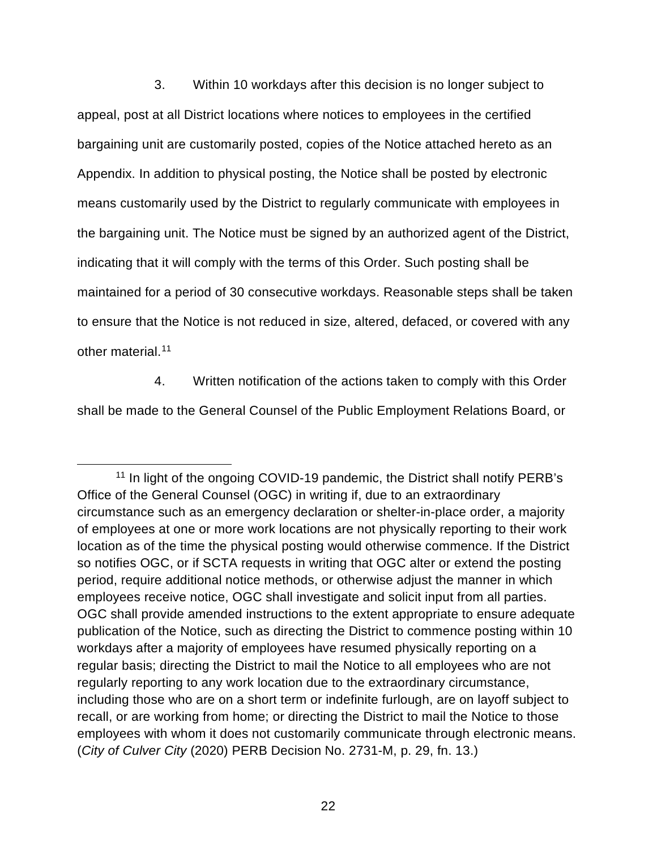3. Within 10 workdays after this decision is no longer subject to appeal, post at all District locations where notices to employees in the certified bargaining unit are customarily posted, copies of the Notice attached hereto as an Appendix. In addition to physical posting, the Notice shall be posted by electronic means customarily used by the District to regularly communicate with employees in the bargaining unit. The Notice must be signed by an authorized agent of the District, indicating that it will comply with the terms of this Order. Such posting shall be maintained for a period of 30 consecutive workdays. Reasonable steps shall be taken to ensure that the Notice is not reduced in size, altered, defaced, or covered with any other material.[11](#page-21-0)

4. Written notification of the actions taken to comply with this Order

shall be made to the General Counsel of the Public Employment Relations Board, or

<span id="page-21-0"></span><sup>&</sup>lt;sup>11</sup> In light of the ongoing COVID-19 pandemic, the District shall notify PERB's Office of the General Counsel (OGC) in writing if, due to an extraordinary circumstance such as an emergency declaration or shelter-in-place order, a majority of employees at one or more work locations are not physically reporting to their work location as of the time the physical posting would otherwise commence. If the District so notifies OGC, or if SCTA requests in writing that OGC alter or extend the posting period, require additional notice methods, or otherwise adjust the manner in which employees receive notice, OGC shall investigate and solicit input from all parties. OGC shall provide amended instructions to the extent appropriate to ensure adequate publication of the Notice, such as directing the District to commence posting within 10 workdays after a majority of employees have resumed physically reporting on a regular basis; directing the District to mail the Notice to all employees who are not regularly reporting to any work location due to the extraordinary circumstance, including those who are on a short term or indefinite furlough, are on layoff subject to recall, or are working from home; or directing the District to mail the Notice to those employees with whom it does not customarily communicate through electronic means. (*City of Culver City* (2020) PERB Decision No. 2731-M, p. 29, fn. 13.)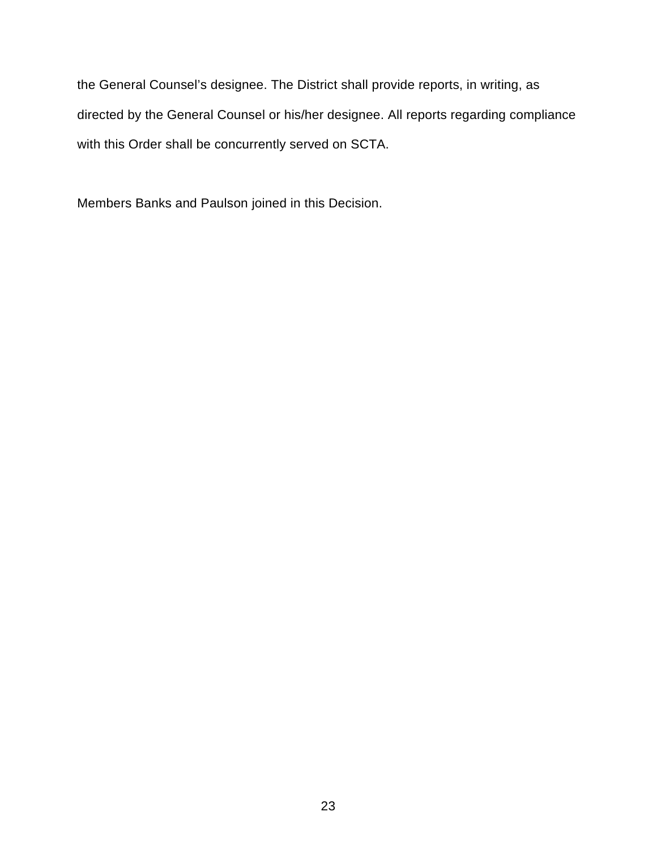the General Counsel's designee. The District shall provide reports, in writing, as directed by the General Counsel or his/her designee. All reports regarding compliance with this Order shall be concurrently served on SCTA.

Members Banks and Paulson joined in this Decision.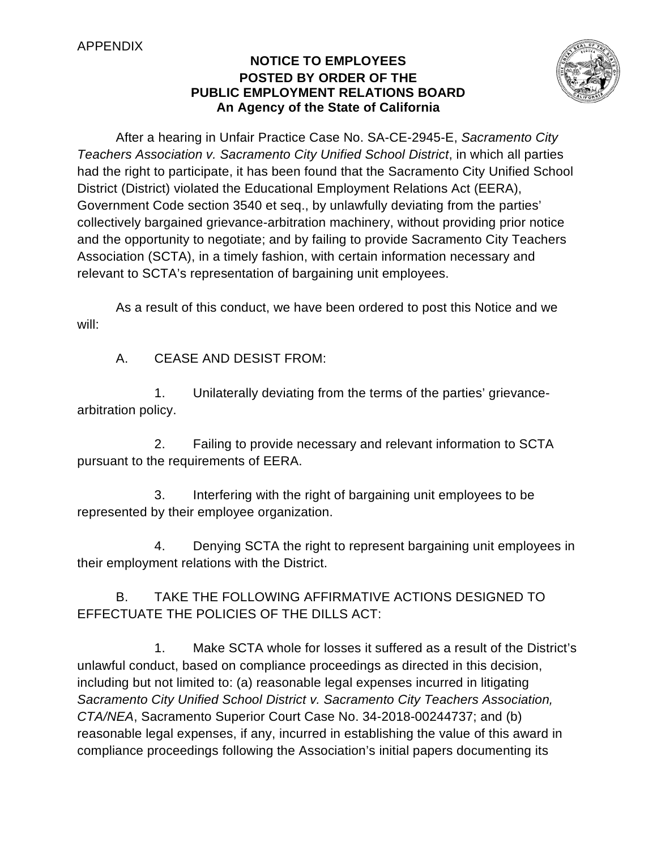# APPENDIX

# **NOTICE TO EMPLOYEES POSTED BY ORDER OF THE PUBLIC EMPLOYMENT RELATIONS BOARD An Agency of the State of California**



After a hearing in Unfair Practice Case No. SA-CE-2945-E, *Sacramento City Teachers Association v. Sacramento City Unified School District*, in which all parties had the right to participate, it has been found that the Sacramento City Unified School District (District) violated the Educational Employment Relations Act (EERA), Government Code section 3540 et seq., by unlawfully deviating from the parties' collectively bargained grievance-arbitration machinery, without providing prior notice and the opportunity to negotiate; and by failing to provide Sacramento City Teachers Association (SCTA), in a timely fashion, with certain information necessary and relevant to SCTA's representation of bargaining unit employees.

As a result of this conduct, we have been ordered to post this Notice and we will:

A. CEASE AND DESIST FROM:

1. Unilaterally deviating from the terms of the parties' grievancearbitration policy.

2. Failing to provide necessary and relevant information to SCTA pursuant to the requirements of EERA.

3. Interfering with the right of bargaining unit employees to be represented by their employee organization.

4. Denying SCTA the right to represent bargaining unit employees in their employment relations with the District.

B. TAKE THE FOLLOWING AFFIRMATIVE ACTIONS DESIGNED TO EFFECTUATE THE POLICIES OF THE DILLS ACT:

1. Make SCTA whole for losses it suffered as a result of the District's unlawful conduct, based on compliance proceedings as directed in this decision, including but not limited to: (a) reasonable legal expenses incurred in litigating *Sacramento City Unified School District v. Sacramento City Teachers Association, CTA/NEA*, Sacramento Superior Court Case No. 34-2018-00244737; and (b) reasonable legal expenses, if any, incurred in establishing the value of this award in compliance proceedings following the Association's initial papers documenting its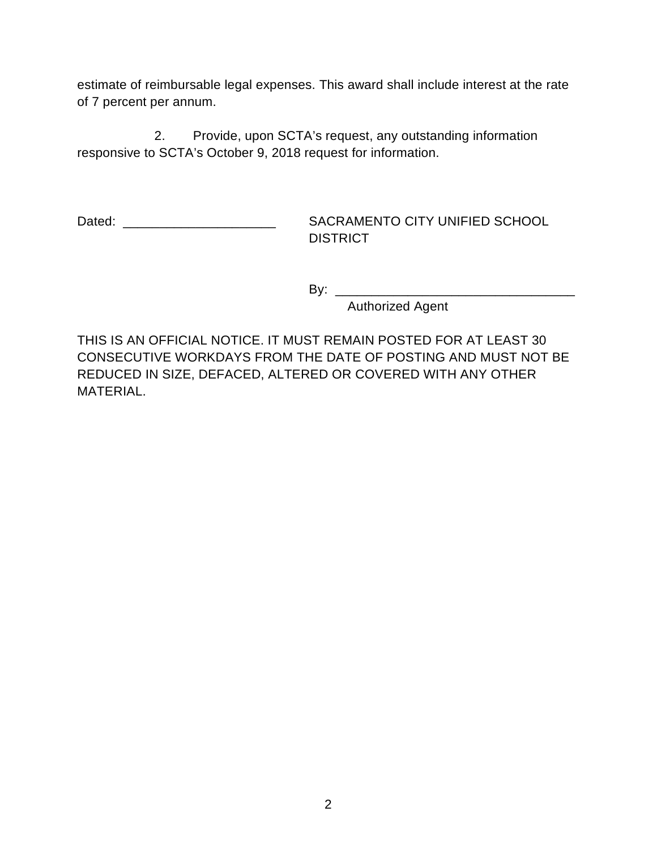estimate of reimbursable legal expenses. This award shall include interest at the rate of 7 percent per annum.

2. Provide, upon SCTA's request, any outstanding information responsive to SCTA's October 9, 2018 request for information.

Dated: \_\_\_\_\_\_\_\_\_\_\_\_\_\_\_\_\_\_\_\_\_ SACRAMENTO CITY UNIFIED SCHOOL **DISTRICT** 

By: \_\_\_\_\_\_\_\_\_\_\_\_\_\_\_\_\_\_\_\_\_\_\_\_\_\_\_\_\_\_\_\_\_

Authorized Agent

THIS IS AN OFFICIAL NOTICE. IT MUST REMAIN POSTED FOR AT LEAST 30 CONSECUTIVE WORKDAYS FROM THE DATE OF POSTING AND MUST NOT BE REDUCED IN SIZE, DEFACED, ALTERED OR COVERED WITH ANY OTHER MATERIAL.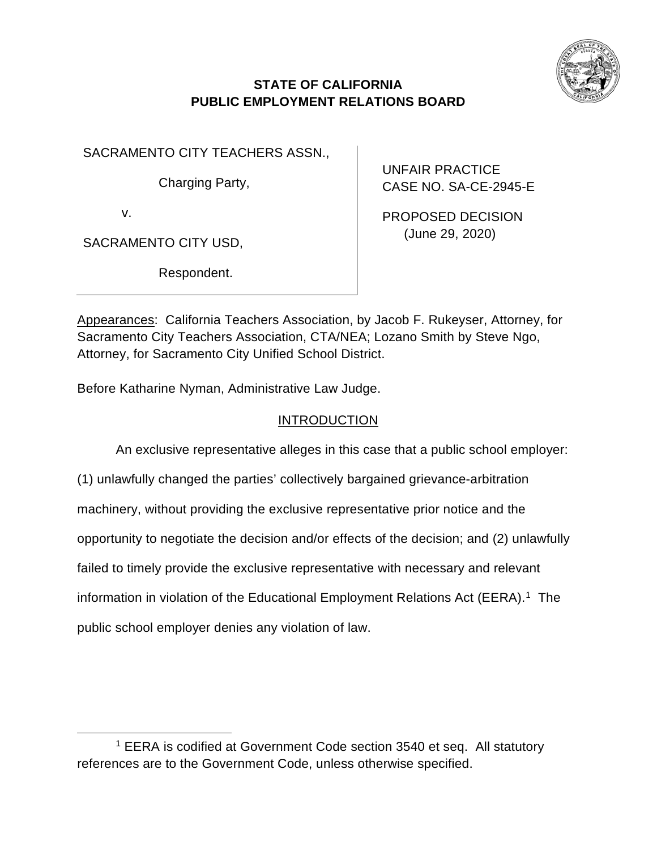

# **STATE OF CALIFORNIA PUBLIC EMPLOYMENT RELATIONS BOARD**

SACRAMENTO CITY TEACHERS ASSN.,

Charging Party,

v.

SACRAMENTO CITY USD,

Respondent.

UNFAIR PRACTICE CASE NO. SA-CE-2945-E

PROPOSED DECISION (June 29, 2020)

Appearances: California Teachers Association, by Jacob F. Rukeyser, Attorney, for Sacramento City Teachers Association, CTA/NEA; Lozano Smith by Steve Ngo, Attorney, for Sacramento City Unified School District.

Before Katharine Nyman, Administrative Law Judge.

# **INTRODUCTION**

An exclusive representative alleges in this case that a public school employer: (1) unlawfully changed the parties' collectively bargained grievance-arbitration machinery, without providing the exclusive representative prior notice and the opportunity to negotiate the decision and/or effects of the decision; and (2) unlawfully failed to timely provide the exclusive representative with necessary and relevant information in violation of the Educational Employment Relations Act (EERA). [1](#page-25-0) The public school employer denies any violation of law.

<span id="page-25-0"></span><sup>&</sup>lt;sup>1</sup> EERA is codified at Government Code section 3540 et seq. All statutory references are to the Government Code, unless otherwise specified.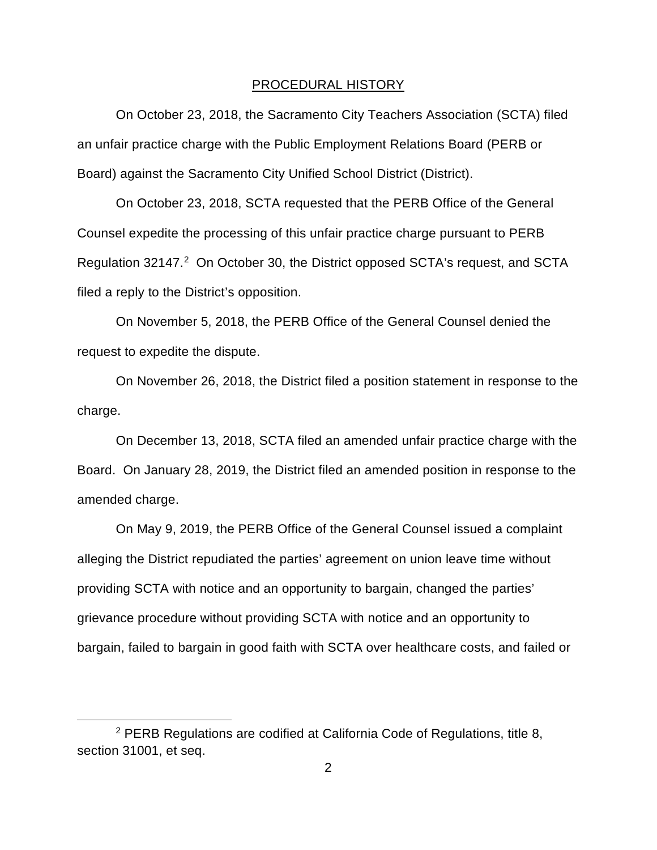#### PROCEDURAL HISTORY

On October 23, 2018, the Sacramento City Teachers Association (SCTA) filed an unfair practice charge with the Public Employment Relations Board (PERB or Board) against the Sacramento City Unified School District (District).

On October 23, 2018, SCTA requested that the PERB Office of the General Counsel expedite the processing of this unfair practice charge pursuant to PERB Regulation 3[2](#page-26-0)147.<sup>2</sup> On October 30, the District opposed SCTA's request, and SCTA filed a reply to the District's opposition.

On November 5, 2018, the PERB Office of the General Counsel denied the request to expedite the dispute.

On November 26, 2018, the District filed a position statement in response to the charge.

On December 13, 2018, SCTA filed an amended unfair practice charge with the Board. On January 28, 2019, the District filed an amended position in response to the amended charge.

On May 9, 2019, the PERB Office of the General Counsel issued a complaint alleging the District repudiated the parties' agreement on union leave time without providing SCTA with notice and an opportunity to bargain, changed the parties' grievance procedure without providing SCTA with notice and an opportunity to bargain, failed to bargain in good faith with SCTA over healthcare costs, and failed or

<span id="page-26-0"></span><sup>2</sup> PERB Regulations are codified at California Code of Regulations, title 8, section 31001, et seq.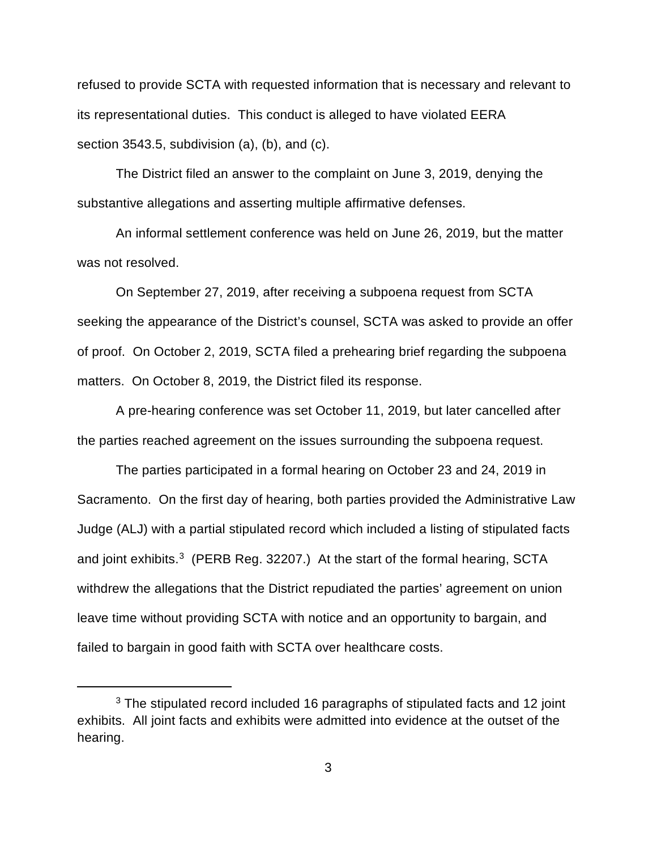refused to provide SCTA with requested information that is necessary and relevant to its representational duties. This conduct is alleged to have violated EERA section 3543.5, subdivision (a), (b), and (c).

The District filed an answer to the complaint on June 3, 2019, denying the substantive allegations and asserting multiple affirmative defenses.

An informal settlement conference was held on June 26, 2019, but the matter was not resolved.

On September 27, 2019, after receiving a subpoena request from SCTA seeking the appearance of the District's counsel, SCTA was asked to provide an offer of proof. On October 2, 2019, SCTA filed a prehearing brief regarding the subpoena matters. On October 8, 2019, the District filed its response.

A pre-hearing conference was set October 11, 2019, but later cancelled after the parties reached agreement on the issues surrounding the subpoena request.

The parties participated in a formal hearing on October 23 and 24, 2019 in Sacramento. On the first day of hearing, both parties provided the Administrative Law Judge (ALJ) with a partial stipulated record which included a listing of stipulated facts and joint exhibits.<sup>3</sup> (PERB Reg. 32207.) At the start of the formal hearing, SCTA withdrew the allegations that the District repudiated the parties' agreement on union leave time without providing SCTA with notice and an opportunity to bargain, and failed to bargain in good faith with SCTA over healthcare costs.

<span id="page-27-0"></span><sup>&</sup>lt;sup>3</sup> The stipulated record included 16 paragraphs of stipulated facts and 12 joint exhibits. All joint facts and exhibits were admitted into evidence at the outset of the hearing.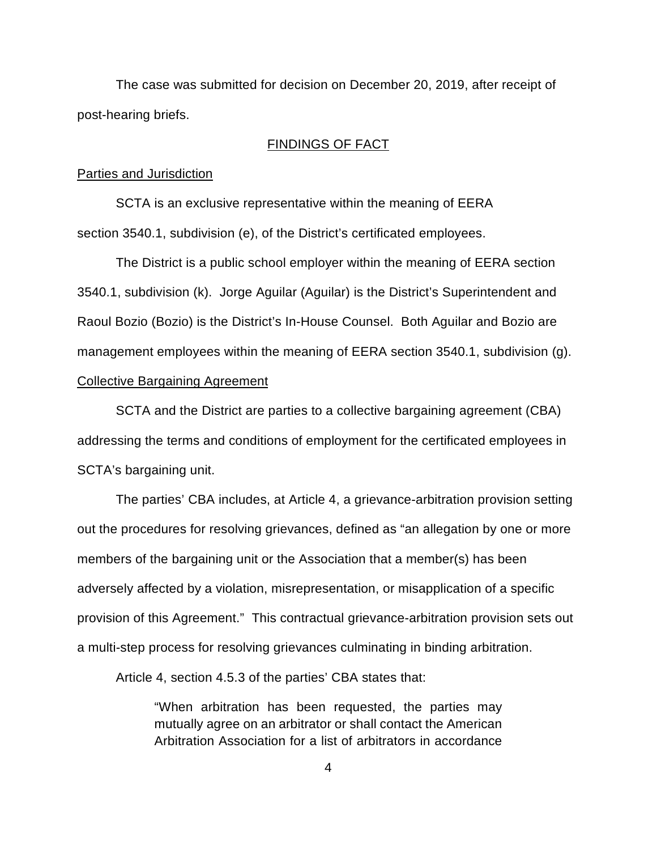The case was submitted for decision on December 20, 2019, after receipt of post-hearing briefs.

# FINDINGS OF FACT

#### Parties and Jurisdiction

SCTA is an exclusive representative within the meaning of EERA section 3540.1, subdivision (e), of the District's certificated employees.

The District is a public school employer within the meaning of EERA section 3540.1, subdivision (k). Jorge Aguilar (Aguilar) is the District's Superintendent and Raoul Bozio (Bozio) is the District's In-House Counsel. Both Aguilar and Bozio are management employees within the meaning of EERA section 3540.1, subdivision (g). Collective Bargaining Agreement

SCTA and the District are parties to a collective bargaining agreement (CBA) addressing the terms and conditions of employment for the certificated employees in SCTA's bargaining unit.

The parties' CBA includes, at Article 4, a grievance-arbitration provision setting out the procedures for resolving grievances, defined as "an allegation by one or more members of the bargaining unit or the Association that a member(s) has been adversely affected by a violation, misrepresentation, or misapplication of a specific provision of this Agreement." This contractual grievance-arbitration provision sets out a multi-step process for resolving grievances culminating in binding arbitration.

Article 4, section 4.5.3 of the parties' CBA states that:

"When arbitration has been requested, the parties may mutually agree on an arbitrator or shall contact the American Arbitration Association for a list of arbitrators in accordance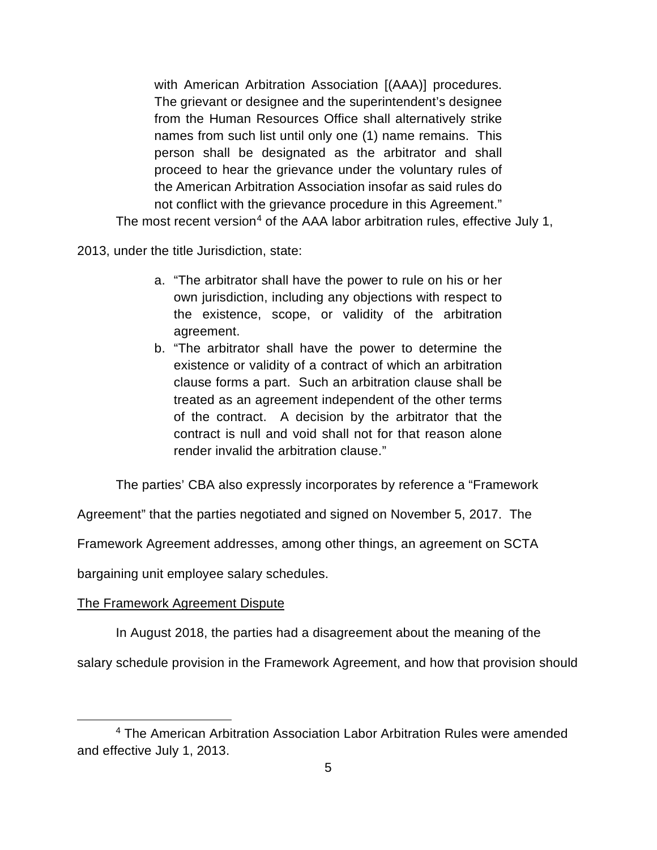with American Arbitration Association [(AAA)] procedures. The grievant or designee and the superintendent's designee from the Human Resources Office shall alternatively strike names from such list until only one (1) name remains. This person shall be designated as the arbitrator and shall proceed to hear the grievance under the voluntary rules of the American Arbitration Association insofar as said rules do not conflict with the grievance procedure in this Agreement."

The most recent version<sup>[4](#page-29-0)</sup> of the AAA labor arbitration rules, effective July 1,

2013, under the title Jurisdiction, state:

- a. "The arbitrator shall have the power to rule on his or her own jurisdiction, including any objections with respect to the existence, scope, or validity of the arbitration agreement.
- b. "The arbitrator shall have the power to determine the existence or validity of a contract of which an arbitration clause forms a part. Such an arbitration clause shall be treated as an agreement independent of the other terms of the contract. A decision by the arbitrator that the contract is null and void shall not for that reason alone render invalid the arbitration clause."

The parties' CBA also expressly incorporates by reference a "Framework

Agreement" that the parties negotiated and signed on November 5, 2017. The

Framework Agreement addresses, among other things, an agreement on SCTA

bargaining unit employee salary schedules.

# The Framework Agreement Dispute

In August 2018, the parties had a disagreement about the meaning of the

salary schedule provision in the Framework Agreement, and how that provision should

<span id="page-29-0"></span><sup>4</sup> The American Arbitration Association Labor Arbitration Rules were amended and effective July 1, 2013.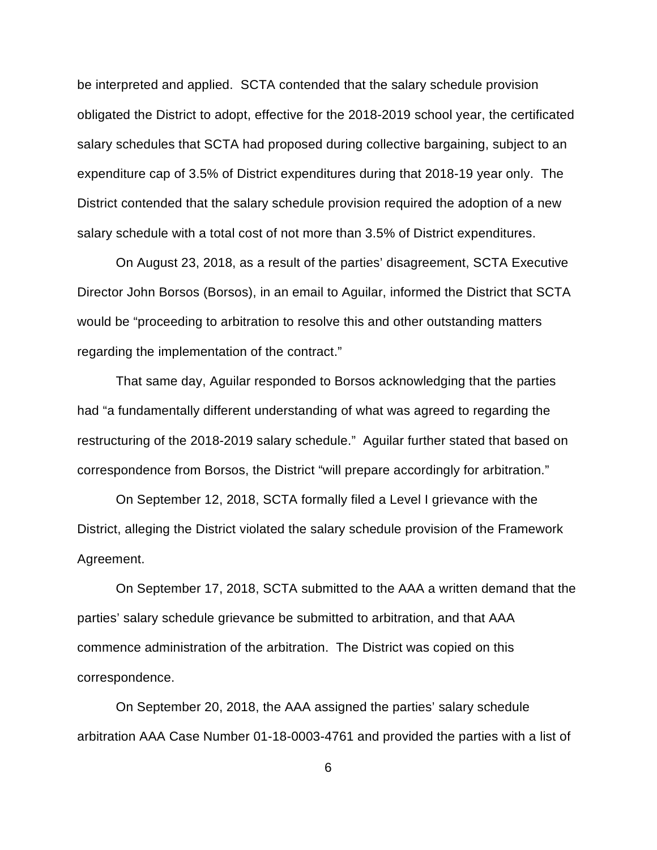be interpreted and applied. SCTA contended that the salary schedule provision obligated the District to adopt, effective for the 2018-2019 school year, the certificated salary schedules that SCTA had proposed during collective bargaining, subject to an expenditure cap of 3.5% of District expenditures during that 2018-19 year only. The District contended that the salary schedule provision required the adoption of a new salary schedule with a total cost of not more than 3.5% of District expenditures.

On August 23, 2018, as a result of the parties' disagreement, SCTA Executive Director John Borsos (Borsos), in an email to Aguilar, informed the District that SCTA would be "proceeding to arbitration to resolve this and other outstanding matters regarding the implementation of the contract."

That same day, Aguilar responded to Borsos acknowledging that the parties had "a fundamentally different understanding of what was agreed to regarding the restructuring of the 2018-2019 salary schedule." Aguilar further stated that based on correspondence from Borsos, the District "will prepare accordingly for arbitration."

On September 12, 2018, SCTA formally filed a Level I grievance with the District, alleging the District violated the salary schedule provision of the Framework Agreement.

On September 17, 2018, SCTA submitted to the AAA a written demand that the parties' salary schedule grievance be submitted to arbitration, and that AAA commence administration of the arbitration. The District was copied on this correspondence.

On September 20, 2018, the AAA assigned the parties' salary schedule arbitration AAA Case Number 01-18-0003-4761 and provided the parties with a list of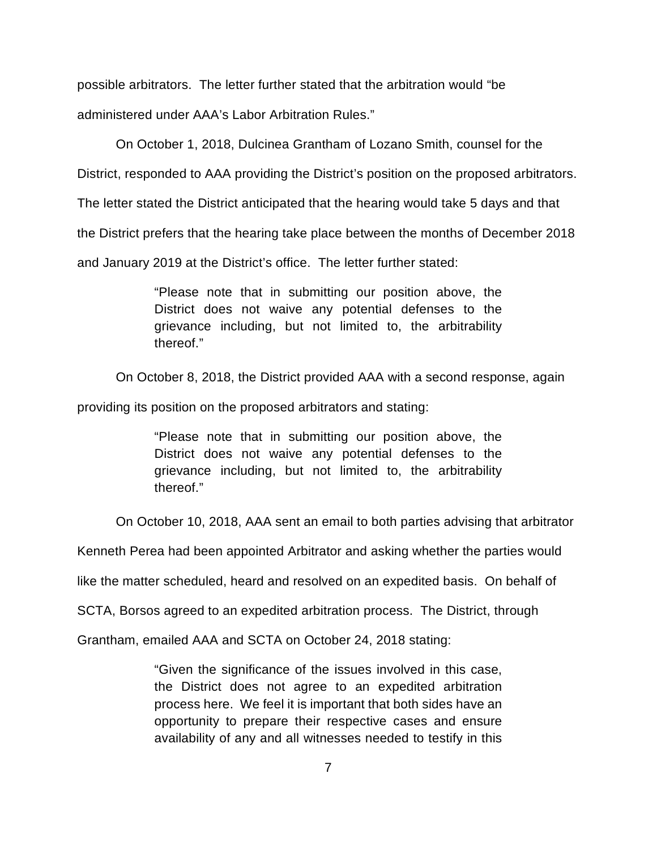possible arbitrators. The letter further stated that the arbitration would "be

administered under AAA's Labor Arbitration Rules."

On October 1, 2018, Dulcinea Grantham of Lozano Smith, counsel for the

District, responded to AAA providing the District's position on the proposed arbitrators.

The letter stated the District anticipated that the hearing would take 5 days and that

the District prefers that the hearing take place between the months of December 2018

and January 2019 at the District's office. The letter further stated:

"Please note that in submitting our position above, the District does not waive any potential defenses to the grievance including, but not limited to, the arbitrability thereof."

On October 8, 2018, the District provided AAA with a second response, again

providing its position on the proposed arbitrators and stating:

"Please note that in submitting our position above, the District does not waive any potential defenses to the grievance including, but not limited to, the arbitrability thereof."

On October 10, 2018, AAA sent an email to both parties advising that arbitrator

Kenneth Perea had been appointed Arbitrator and asking whether the parties would

like the matter scheduled, heard and resolved on an expedited basis. On behalf of

SCTA, Borsos agreed to an expedited arbitration process. The District, through

Grantham, emailed AAA and SCTA on October 24, 2018 stating:

"Given the significance of the issues involved in this case, the District does not agree to an expedited arbitration process here. We feel it is important that both sides have an opportunity to prepare their respective cases and ensure availability of any and all witnesses needed to testify in this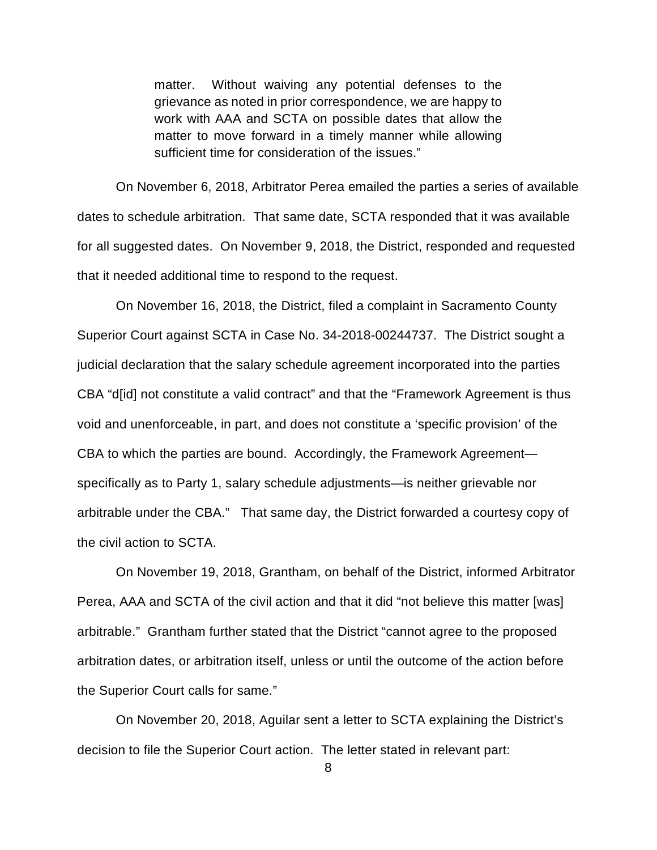matter. Without waiving any potential defenses to the grievance as noted in prior correspondence, we are happy to work with AAA and SCTA on possible dates that allow the matter to move forward in a timely manner while allowing sufficient time for consideration of the issues."

On November 6, 2018, Arbitrator Perea emailed the parties a series of available dates to schedule arbitration. That same date, SCTA responded that it was available for all suggested dates. On November 9, 2018, the District, responded and requested that it needed additional time to respond to the request.

On November 16, 2018, the District, filed a complaint in Sacramento County Superior Court against SCTA in Case No. 34-2018-00244737. The District sought a judicial declaration that the salary schedule agreement incorporated into the parties CBA "d[id] not constitute a valid contract" and that the "Framework Agreement is thus void and unenforceable, in part, and does not constitute a 'specific provision' of the CBA to which the parties are bound. Accordingly, the Framework Agreement specifically as to Party 1, salary schedule adjustments—is neither grievable nor arbitrable under the CBA." That same day, the District forwarded a courtesy copy of the civil action to SCTA.

On November 19, 2018, Grantham, on behalf of the District, informed Arbitrator Perea, AAA and SCTA of the civil action and that it did "not believe this matter [was] arbitrable." Grantham further stated that the District "cannot agree to the proposed arbitration dates, or arbitration itself, unless or until the outcome of the action before the Superior Court calls for same."

On November 20, 2018, Aguilar sent a letter to SCTA explaining the District's decision to file the Superior Court action. The letter stated in relevant part:

<sup>8</sup>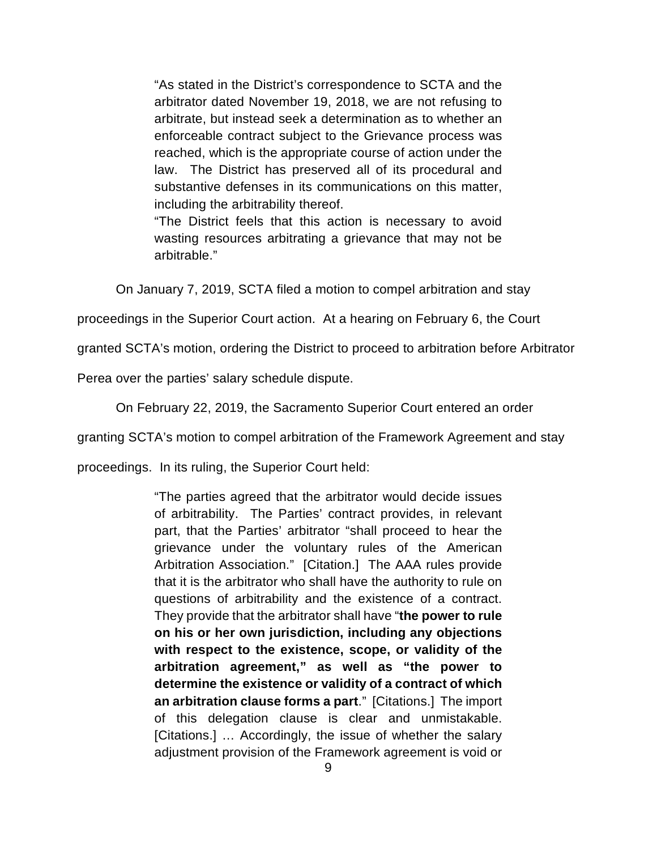"As stated in the District's correspondence to SCTA and the arbitrator dated November 19, 2018, we are not refusing to arbitrate, but instead seek a determination as to whether an enforceable contract subject to the Grievance process was reached, which is the appropriate course of action under the law. The District has preserved all of its procedural and substantive defenses in its communications on this matter, including the arbitrability thereof.

"The District feels that this action is necessary to avoid wasting resources arbitrating a grievance that may not be arbitrable."

On January 7, 2019, SCTA filed a motion to compel arbitration and stay

proceedings in the Superior Court action. At a hearing on February 6, the Court

granted SCTA's motion, ordering the District to proceed to arbitration before Arbitrator

Perea over the parties' salary schedule dispute.

On February 22, 2019, the Sacramento Superior Court entered an order

granting SCTA's motion to compel arbitration of the Framework Agreement and stay

proceedings. In its ruling, the Superior Court held:

"The parties agreed that the arbitrator would decide issues of arbitrability. The Parties' contract provides, in relevant part, that the Parties' arbitrator "shall proceed to hear the grievance under the voluntary rules of the American Arbitration Association." [Citation.] The AAA rules provide that it is the arbitrator who shall have the authority to rule on questions of arbitrability and the existence of a contract. They provide that the arbitrator shall have "**the power to rule on his or her own jurisdiction, including any objections with respect to the existence, scope, or validity of the arbitration agreement," as well as "the power to determine the existence or validity of a contract of which an arbitration clause forms a part**." [Citations.] The import of this delegation clause is clear and unmistakable. [Citations.] … Accordingly, the issue of whether the salary adjustment provision of the Framework agreement is void or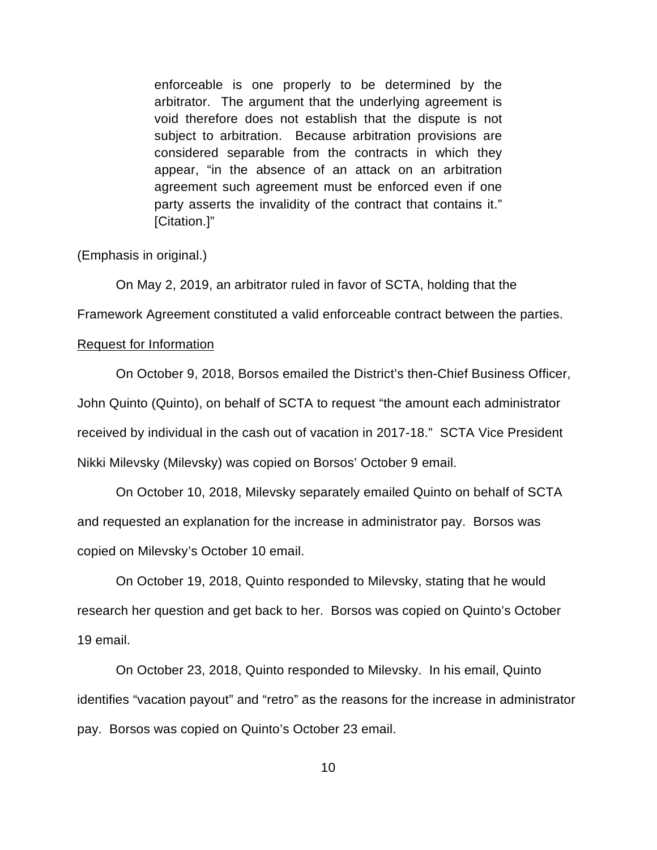enforceable is one properly to be determined by the arbitrator. The argument that the underlying agreement is void therefore does not establish that the dispute is not subject to arbitration. Because arbitration provisions are considered separable from the contracts in which they appear, "in the absence of an attack on an arbitration agreement such agreement must be enforced even if one party asserts the invalidity of the contract that contains it." [Citation.]"

(Emphasis in original.)

On May 2, 2019, an arbitrator ruled in favor of SCTA, holding that the

Framework Agreement constituted a valid enforceable contract between the parties.

## Request for Information

On October 9, 2018, Borsos emailed the District's then-Chief Business Officer, John Quinto (Quinto), on behalf of SCTA to request "the amount each administrator received by individual in the cash out of vacation in 2017-18." SCTA Vice President Nikki Milevsky (Milevsky) was copied on Borsos' October 9 email.

On October 10, 2018, Milevsky separately emailed Quinto on behalf of SCTA and requested an explanation for the increase in administrator pay. Borsos was copied on Milevsky's October 10 email.

On October 19, 2018, Quinto responded to Milevsky, stating that he would research her question and get back to her. Borsos was copied on Quinto's October 19 email.

On October 23, 2018, Quinto responded to Milevsky. In his email, Quinto identifies "vacation payout" and "retro" as the reasons for the increase in administrator pay. Borsos was copied on Quinto's October 23 email.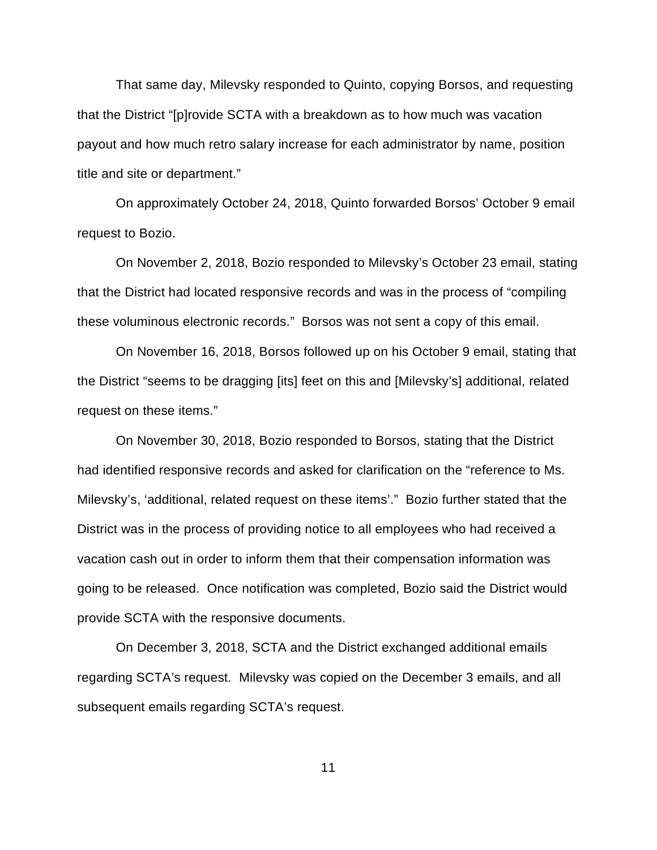That same day, Milevsky responded to Quinto, copying Borsos, and requesting that the District "[p]rovide SCTA with a breakdown as to how much was vacation payout and how much retro salary increase for each administrator by name, position title and site or department."

On approximately October 24, 2018, Quinto forwarded Borsos' October 9 email request to Bozio.

On November 2, 2018, Bozio responded to Milevsky's October 23 email, stating that the District had located responsive records and was in the process of "compiling these voluminous electronic records." Borsos was not sent a copy of this email.

On November 16, 2018, Borsos followed up on his October 9 email, stating that the District "seems to be dragging [its] feet on this and [Milevsky's] additional, related request on these items."

On November 30, 2018, Bozio responded to Borsos, stating that the District had identified responsive records and asked for clarification on the "reference to Ms. Milevsky's, 'additional, related request on these items'." Bozio further stated that the District was in the process of providing notice to all employees who had received a vacation cash out in order to inform them that their compensation information was going to be released. Once notification was completed, Bozio said the District would provide SCTA with the responsive documents.

On December 3, 2018, SCTA and the District exchanged additional emails regarding SCTA's request. Milevsky was copied on the December 3 emails, and all subsequent emails regarding SCTA's request.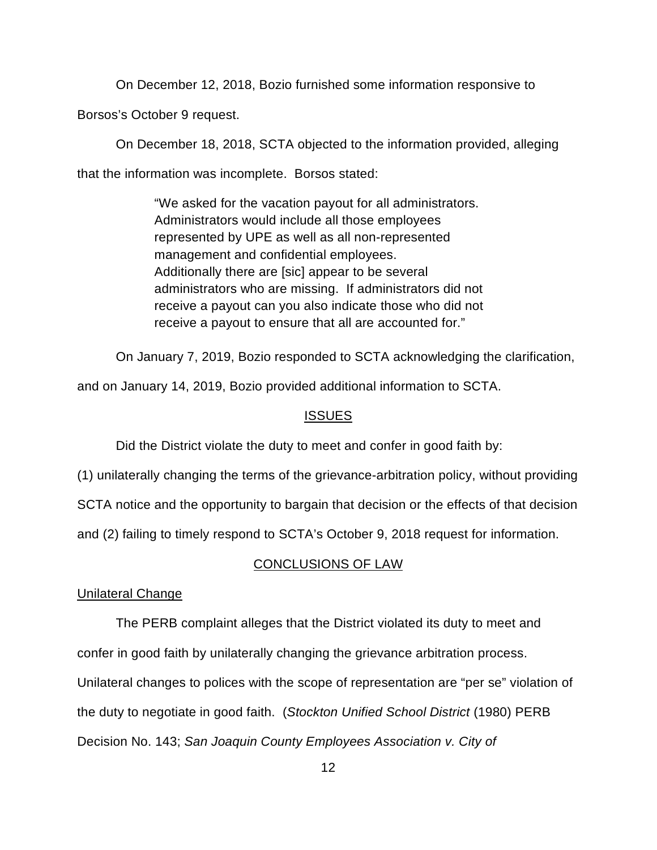On December 12, 2018, Bozio furnished some information responsive to

Borsos's October 9 request.

On December 18, 2018, SCTA objected to the information provided, alleging that the information was incomplete. Borsos stated:

> "We asked for the vacation payout for all administrators. Administrators would include all those employees represented by UPE as well as all non-represented management and confidential employees. Additionally there are [sic] appear to be several administrators who are missing. If administrators did not receive a payout can you also indicate those who did not receive a payout to ensure that all are accounted for."

On January 7, 2019, Bozio responded to SCTA acknowledging the clarification,

and on January 14, 2019, Bozio provided additional information to SCTA.

# ISSUES

Did the District violate the duty to meet and confer in good faith by:

(1) unilaterally changing the terms of the grievance-arbitration policy, without providing

SCTA notice and the opportunity to bargain that decision or the effects of that decision

and (2) failing to timely respond to SCTA's October 9, 2018 request for information.

# CONCLUSIONS OF LAW

## Unilateral Change

The PERB complaint alleges that the District violated its duty to meet and confer in good faith by unilaterally changing the grievance arbitration process. Unilateral changes to polices with the scope of representation are "per se" violation of the duty to negotiate in good faith. (*Stockton Unified School District* (1980) PERB Decision No. 143; *San Joaquin County Employees Association v. City of*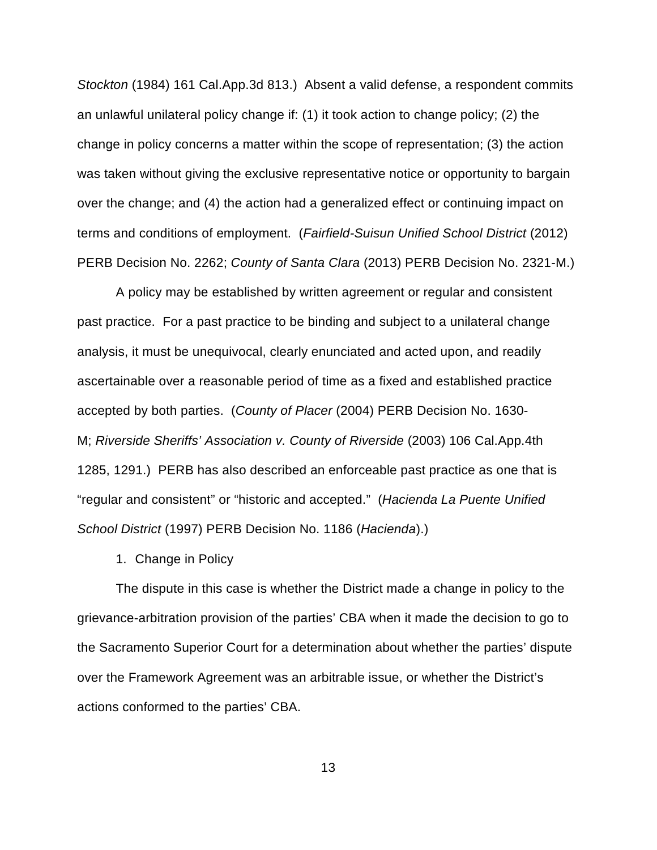*Stockton* (1984) 161 Cal.App.3d 813.) Absent a valid defense, a respondent commits an unlawful unilateral policy change if: (1) it took action to change policy; (2) the change in policy concerns a matter within the scope of representation; (3) the action was taken without giving the exclusive representative notice or opportunity to bargain over the change; and (4) the action had a generalized effect or continuing impact on terms and conditions of employment. (*Fairfield-Suisun Unified School District* (2012) PERB Decision No. 2262; *County of Santa Clara* (2013) PERB Decision No. 2321-M.)

A policy may be established by written agreement or regular and consistent past practice. For a past practice to be binding and subject to a unilateral change analysis, it must be unequivocal, clearly enunciated and acted upon, and readily ascertainable over a reasonable period of time as a fixed and established practice accepted by both parties. (*County of Placer* (2004) PERB Decision No. 1630- M; *Riverside Sheriffs' Association v. County of Riverside* (2003) 106 Cal.App.4th 1285, 1291.) PERB has also described an enforceable past practice as one that is "regular and consistent" or "historic and accepted." (*Hacienda La Puente Unified School District* (1997) PERB Decision No. 1186 (*Hacienda*).)

1. Change in Policy

The dispute in this case is whether the District made a change in policy to the grievance-arbitration provision of the parties' CBA when it made the decision to go to the Sacramento Superior Court for a determination about whether the parties' dispute over the Framework Agreement was an arbitrable issue, or whether the District's actions conformed to the parties' CBA.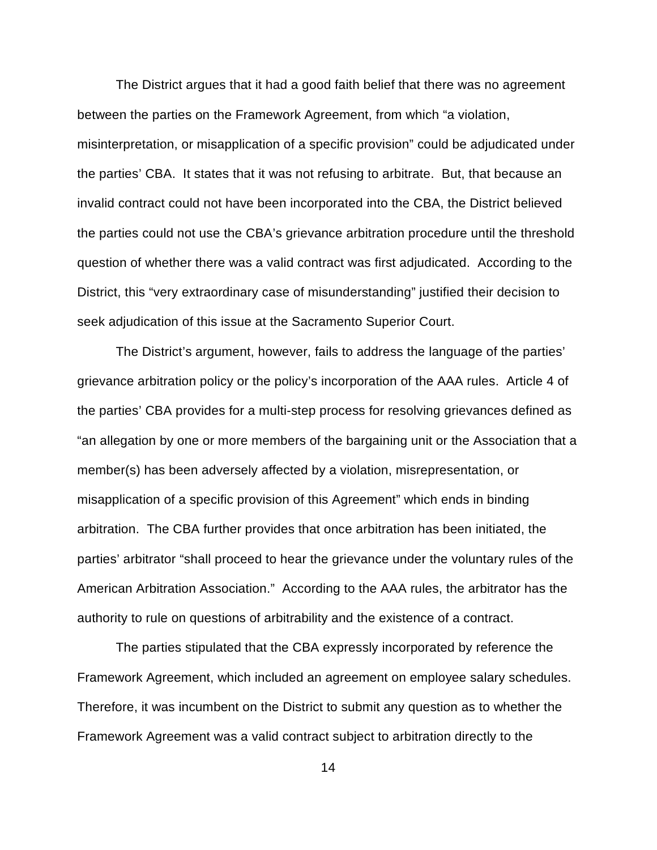The District argues that it had a good faith belief that there was no agreement between the parties on the Framework Agreement, from which "a violation, misinterpretation, or misapplication of a specific provision" could be adjudicated under the parties' CBA. It states that it was not refusing to arbitrate. But, that because an invalid contract could not have been incorporated into the CBA, the District believed the parties could not use the CBA's grievance arbitration procedure until the threshold question of whether there was a valid contract was first adjudicated. According to the District, this "very extraordinary case of misunderstanding" justified their decision to seek adjudication of this issue at the Sacramento Superior Court.

The District's argument, however, fails to address the language of the parties' grievance arbitration policy or the policy's incorporation of the AAA rules. Article 4 of the parties' CBA provides for a multi-step process for resolving grievances defined as "an allegation by one or more members of the bargaining unit or the Association that a member(s) has been adversely affected by a violation, misrepresentation, or misapplication of a specific provision of this Agreement" which ends in binding arbitration. The CBA further provides that once arbitration has been initiated, the parties' arbitrator "shall proceed to hear the grievance under the voluntary rules of the American Arbitration Association." According to the AAA rules, the arbitrator has the authority to rule on questions of arbitrability and the existence of a contract.

The parties stipulated that the CBA expressly incorporated by reference the Framework Agreement, which included an agreement on employee salary schedules. Therefore, it was incumbent on the District to submit any question as to whether the Framework Agreement was a valid contract subject to arbitration directly to the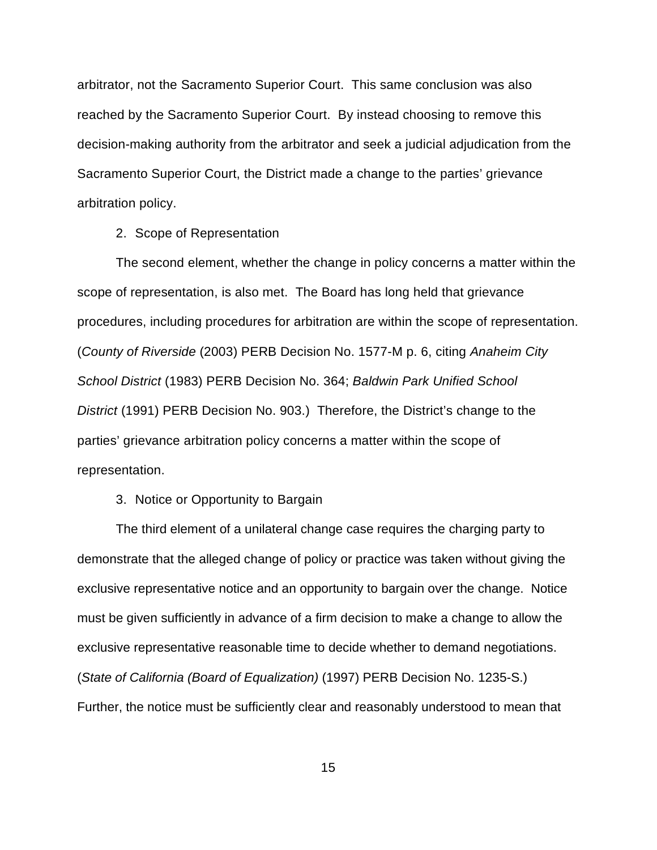arbitrator, not the Sacramento Superior Court. This same conclusion was also reached by the Sacramento Superior Court. By instead choosing to remove this decision-making authority from the arbitrator and seek a judicial adjudication from the Sacramento Superior Court, the District made a change to the parties' grievance arbitration policy.

# 2. Scope of Representation

The second element, whether the change in policy concerns a matter within the scope of representation, is also met. The Board has long held that grievance procedures, including procedures for arbitration are within the scope of representation. (*County of Riverside* (2003) PERB Decision No. 1577-M p. 6, citing *Anaheim City School District* (1983) PERB Decision No. 364; *Baldwin Park Unified School District* (1991) PERB Decision No. 903.) Therefore, the District's change to the parties' grievance arbitration policy concerns a matter within the scope of representation.

# 3. Notice or Opportunity to Bargain

The third element of a unilateral change case requires the charging party to demonstrate that the alleged change of policy or practice was taken without giving the exclusive representative notice and an opportunity to bargain over the change. Notice must be given sufficiently in advance of a firm decision to make a change to allow the exclusive representative reasonable time to decide whether to demand negotiations. (*State of California (Board of Equalization)* (1997) PERB Decision No. 1235-S.) Further, the notice must be sufficiently clear and reasonably understood to mean that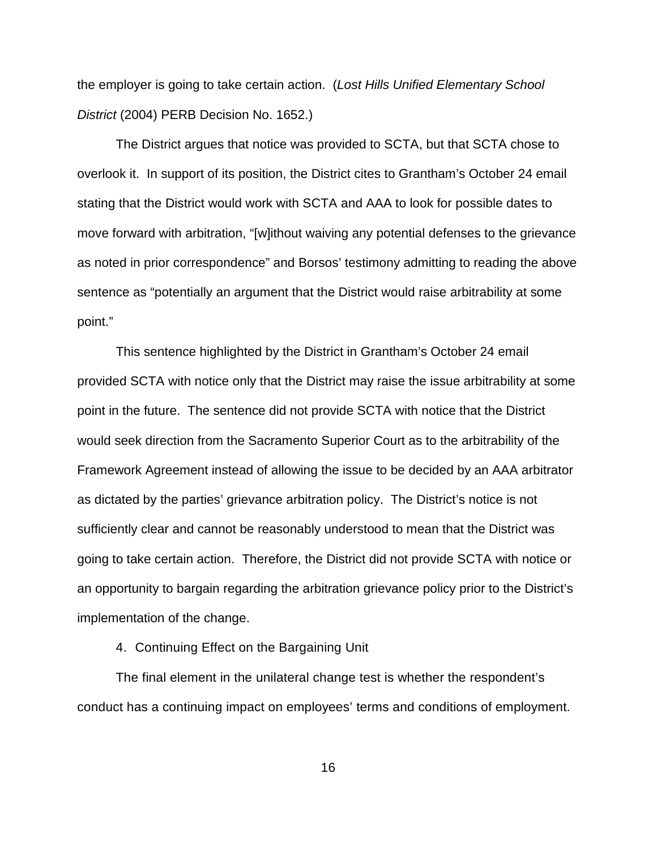the employer is going to take certain action. (*Lost Hills Unified Elementary School District* (2004) PERB Decision No. 1652.)

The District argues that notice was provided to SCTA, but that SCTA chose to overlook it. In support of its position, the District cites to Grantham's October 24 email stating that the District would work with SCTA and AAA to look for possible dates to move forward with arbitration, "[w]ithout waiving any potential defenses to the grievance as noted in prior correspondence" and Borsos' testimony admitting to reading the above sentence as "potentially an argument that the District would raise arbitrability at some point."

This sentence highlighted by the District in Grantham's October 24 email provided SCTA with notice only that the District may raise the issue arbitrability at some point in the future. The sentence did not provide SCTA with notice that the District would seek direction from the Sacramento Superior Court as to the arbitrability of the Framework Agreement instead of allowing the issue to be decided by an AAA arbitrator as dictated by the parties' grievance arbitration policy. The District's notice is not sufficiently clear and cannot be reasonably understood to mean that the District was going to take certain action. Therefore, the District did not provide SCTA with notice or an opportunity to bargain regarding the arbitration grievance policy prior to the District's implementation of the change.

4. Continuing Effect on the Bargaining Unit

The final element in the unilateral change test is whether the respondent's conduct has a continuing impact on employees' terms and conditions of employment.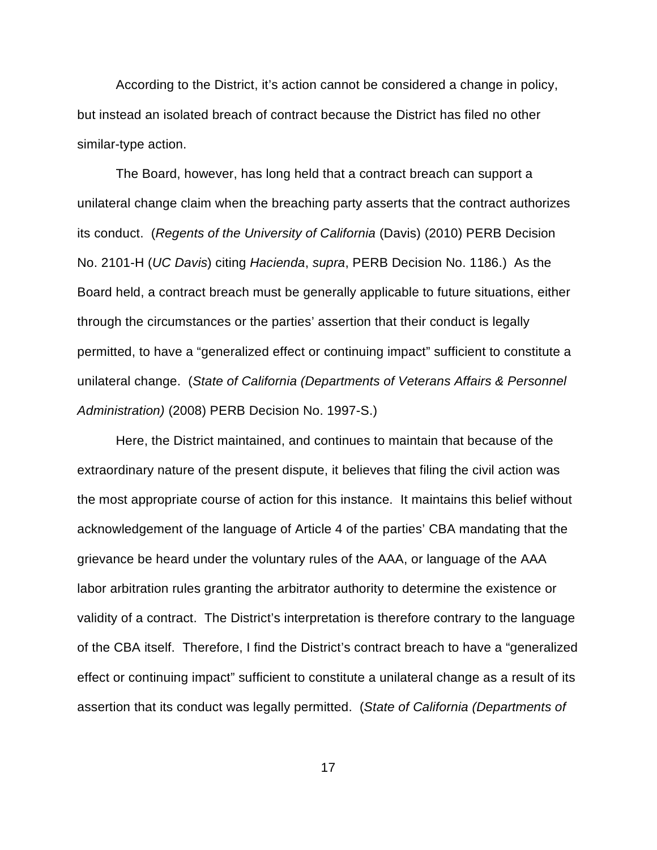According to the District, it's action cannot be considered a change in policy, but instead an isolated breach of contract because the District has filed no other similar-type action.

The Board, however, has long held that a contract breach can support a unilateral change claim when the breaching party asserts that the contract authorizes its conduct. (*Regents of the University of California* (Davis) (2010) PERB Decision No. 2101-H (*UC Davis*) citing *Hacienda*, *supra*, PERB Decision No. 1186.) As the Board held, a contract breach must be generally applicable to future situations, either through the circumstances or the parties' assertion that their conduct is legally permitted, to have a "generalized effect or continuing impact" sufficient to constitute a unilateral change. (*State of California (Departments of Veterans Affairs & Personnel Administration)* (2008) PERB Decision No. 1997-S.)

Here, the District maintained, and continues to maintain that because of the extraordinary nature of the present dispute, it believes that filing the civil action was the most appropriate course of action for this instance. It maintains this belief without acknowledgement of the language of Article 4 of the parties' CBA mandating that the grievance be heard under the voluntary rules of the AAA, or language of the AAA labor arbitration rules granting the arbitrator authority to determine the existence or validity of a contract. The District's interpretation is therefore contrary to the language of the CBA itself. Therefore, I find the District's contract breach to have a "generalized effect or continuing impact" sufficient to constitute a unilateral change as a result of its assertion that its conduct was legally permitted. (*State of California (Departments of*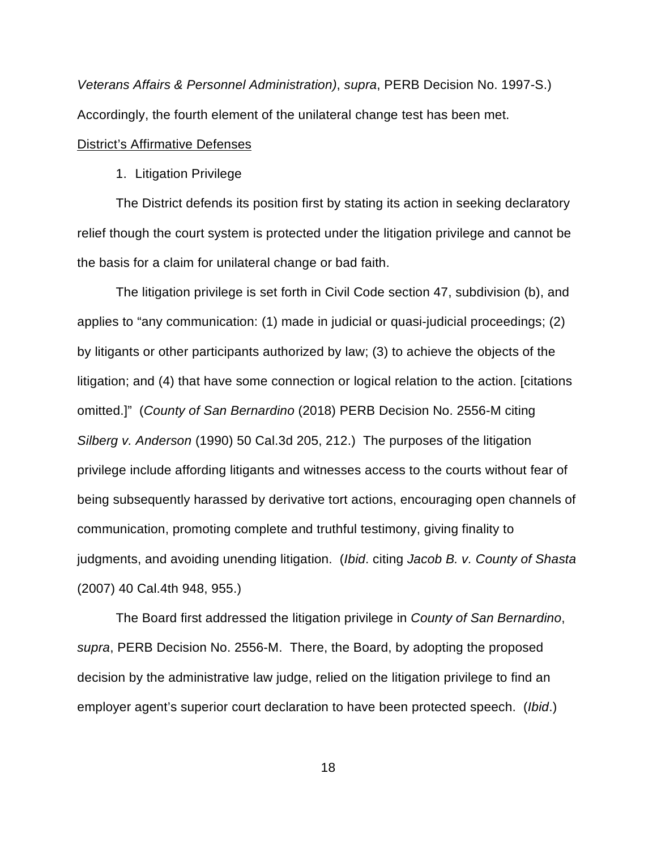*Veterans Affairs & Personnel Administration)*, *supra*, PERB Decision No. 1997-S.) Accordingly, the fourth element of the unilateral change test has been met.

## District's Affirmative Defenses

## 1. Litigation Privilege

The District defends its position first by stating its action in seeking declaratory relief though the court system is protected under the litigation privilege and cannot be the basis for a claim for unilateral change or bad faith.

The litigation privilege is set forth in Civil Code section 47, subdivision (b), and applies to "any communication: (1) made in judicial or quasi-judicial proceedings; (2) by litigants or other participants authorized by law; (3) to achieve the objects of the litigation; and (4) that have some connection or logical relation to the action. [citations omitted.]" (*County of San Bernardino* (2018) PERB Decision No. 2556-M citing *Silberg v. Anderson* (1990) 50 Cal.3d 205, 212.) The purposes of the litigation privilege include affording litigants and witnesses access to the courts without fear of being subsequently harassed by derivative tort actions, encouraging open channels of communication, promoting complete and truthful testimony, giving finality to judgments, and avoiding unending litigation. (*Ibid*. citing *Jacob B. v. County of Shasta* (2007) 40 Cal.4th 948, 955.)

The Board first addressed the litigation privilege in *County of San Bernardino*, *supra*, PERB Decision No. 2556-M. There, the Board, by adopting the proposed decision by the administrative law judge, relied on the litigation privilege to find an employer agent's superior court declaration to have been protected speech. (*Ibid*.)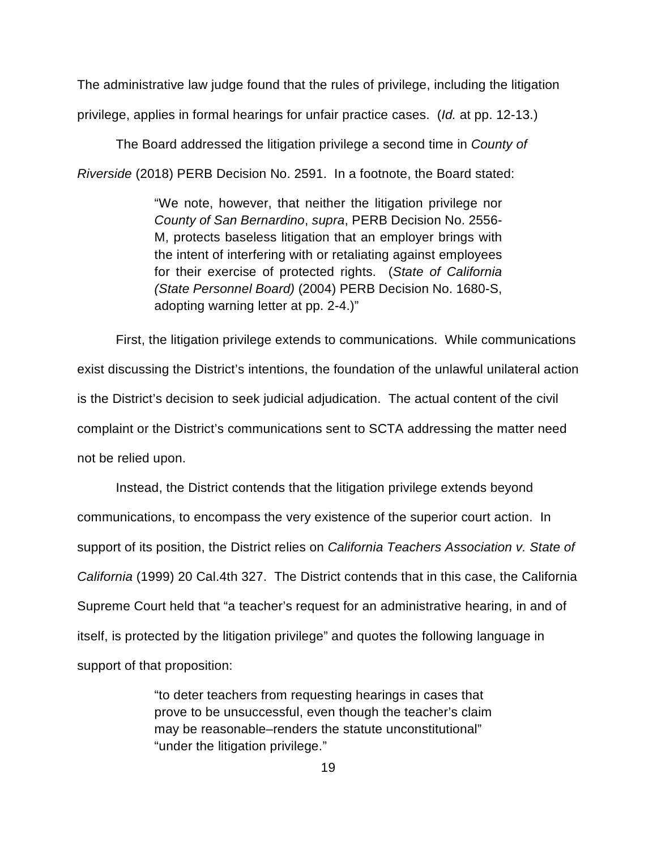The administrative law judge found that the rules of privilege, including the litigation privilege, applies in formal hearings for unfair practice cases. (*Id.* at pp. 12-13.)

The Board addressed the litigation privilege a second time in *County of Riverside* (2018) PERB Decision No. 2591. In a footnote, the Board stated:

> "We note, however, that neither the litigation privilege nor *County of San Bernardino*, *supra*, PERB Decision No. 2556- M, protects baseless litigation that an employer brings with the intent of interfering with or retaliating against employees for their exercise of protected rights. (*State of California (State Personnel Board)* (2004) PERB Decision No. 1680-S, adopting warning letter at pp. 2-4.)"

First, the litigation privilege extends to communications. While communications exist discussing the District's intentions, the foundation of the unlawful unilateral action is the District's decision to seek judicial adjudication. The actual content of the civil complaint or the District's communications sent to SCTA addressing the matter need not be relied upon.

Instead, the District contends that the litigation privilege extends beyond communications, to encompass the very existence of the superior court action. In support of its position, the District relies on *California Teachers Association v. State of California* (1999) 20 Cal.4th 327. The District contends that in this case, the California Supreme Court held that "a teacher's request for an administrative hearing, in and of itself, is protected by the litigation privilege" and quotes the following language in support of that proposition:

> "to deter teachers from requesting hearings in cases that prove to be unsuccessful, even though the teacher's claim may be reasonable–renders the statute unconstitutional" "under the litigation privilege."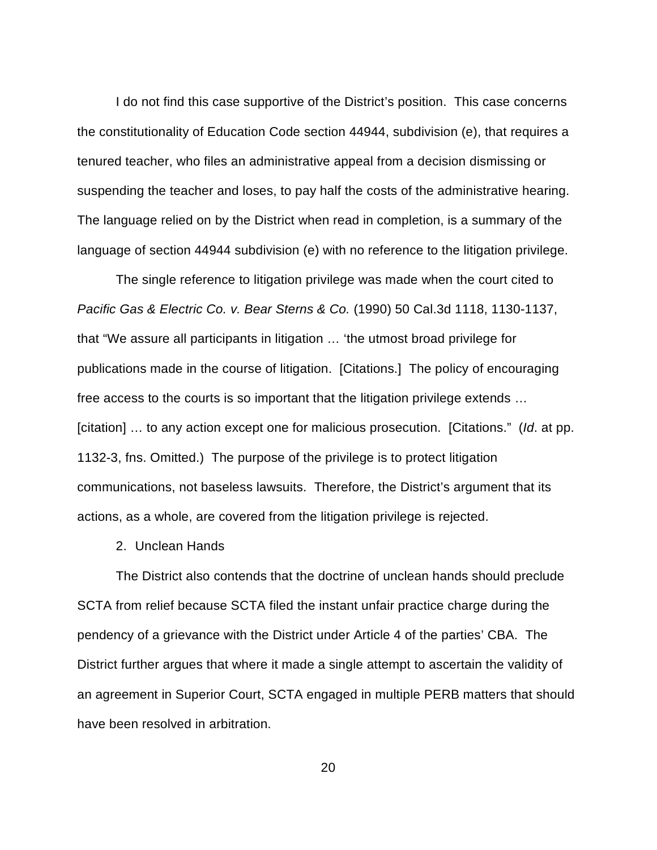I do not find this case supportive of the District's position. This case concerns the constitutionality of Education Code section 44944, subdivision (e), that requires a tenured teacher, who files an administrative appeal from a decision dismissing or suspending the teacher and loses, to pay half the costs of the administrative hearing. The language relied on by the District when read in completion, is a summary of the language of section 44944 subdivision (e) with no reference to the litigation privilege.

The single reference to litigation privilege was made when the court cited to *Pacific Gas & Electric Co. v. Bear Sterns & Co.* (1990) 50 Cal.3d 1118, 1130-1137, that "We assure all participants in litigation … 'the utmost broad privilege for publications made in the course of litigation. [Citations.] The policy of encouraging free access to the courts is so important that the litigation privilege extends … [citation] … to any action except one for malicious prosecution. [Citations." (*Id*. at pp. 1132-3, fns. Omitted.) The purpose of the privilege is to protect litigation communications, not baseless lawsuits. Therefore, the District's argument that its actions, as a whole, are covered from the litigation privilege is rejected.

2. Unclean Hands

The District also contends that the doctrine of unclean hands should preclude SCTA from relief because SCTA filed the instant unfair practice charge during the pendency of a grievance with the District under Article 4 of the parties' CBA. The District further argues that where it made a single attempt to ascertain the validity of an agreement in Superior Court, SCTA engaged in multiple PERB matters that should have been resolved in arbitration.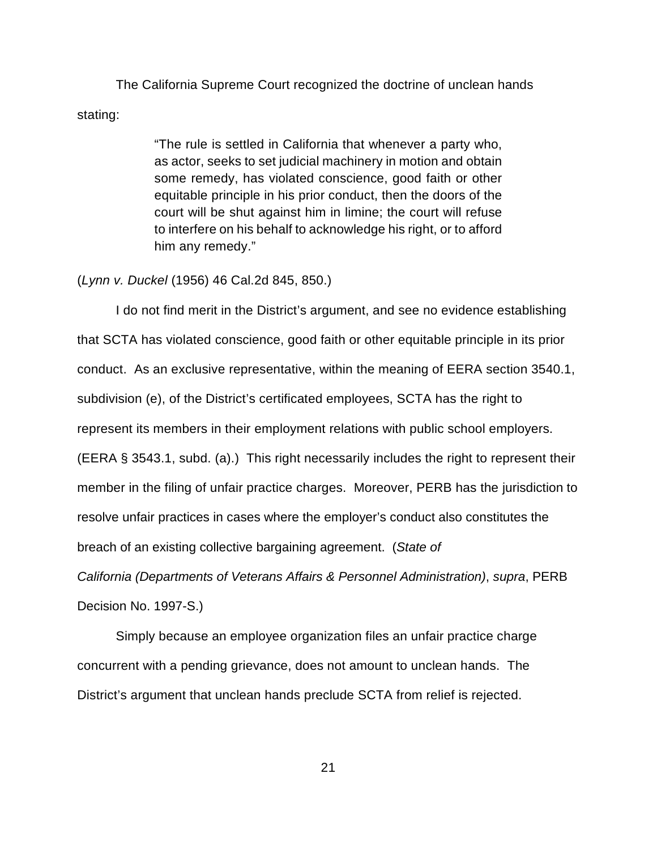The California Supreme Court recognized the doctrine of unclean hands stating:

> "The rule is settled in California that whenever a party who, as actor, seeks to set judicial machinery in motion and obtain some remedy, has violated conscience, good faith or other equitable principle in his prior conduct, then the doors of the court will be shut against him in limine; the court will refuse to interfere on his behalf to acknowledge his right, or to afford him any remedy."

## (*Lynn v. Duckel* (1956) 46 Cal.2d 845, 850.)

I do not find merit in the District's argument, and see no evidence establishing that SCTA has violated conscience, good faith or other equitable principle in its prior conduct. As an exclusive representative, within the meaning of EERA section 3540.1, subdivision (e), of the District's certificated employees, SCTA has the right to represent its members in their employment relations with public school employers. (EERA § 3543.1, subd. (a).) This right necessarily includes the right to represent their member in the filing of unfair practice charges. Moreover, PERB has the jurisdiction to resolve unfair practices in cases where the employer's conduct also constitutes the breach of an existing collective bargaining agreement. (*State of* 

*California (Departments of Veterans Affairs & Personnel Administration)*, *supra*, PERB Decision No. 1997-S.)

Simply because an employee organization files an unfair practice charge concurrent with a pending grievance, does not amount to unclean hands. The District's argument that unclean hands preclude SCTA from relief is rejected.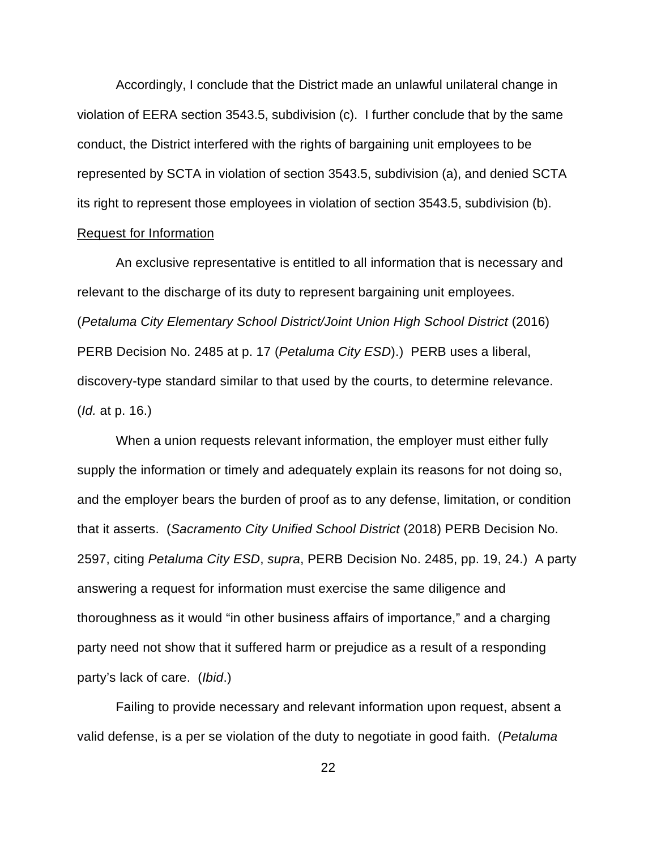Accordingly, I conclude that the District made an unlawful unilateral change in violation of EERA section 3543.5, subdivision (c). I further conclude that by the same conduct, the District interfered with the rights of bargaining unit employees to be represented by SCTA in violation of section 3543.5, subdivision (a), and denied SCTA its right to represent those employees in violation of section 3543.5, subdivision (b).

# Request for Information

An exclusive representative is entitled to all information that is necessary and relevant to the discharge of its duty to represent bargaining unit employees. (*Petaluma City Elementary School District/Joint Union High School District* (2016) PERB Decision No. 2485 at p. 17 (*Petaluma City ESD*).) PERB uses a liberal, discovery-type standard similar to that used by the courts, to determine relevance. (*Id.* at p. 16.)

When a union requests relevant information, the employer must either fully supply the information or timely and adequately explain its reasons for not doing so, and the employer bears the burden of proof as to any defense, limitation, or condition that it asserts. (*Sacramento City Unified School District* (2018) PERB Decision No. 2597, citing *Petaluma City ESD*, *supra*, PERB Decision No. 2485, pp. 19, 24.) A party answering a request for information must exercise the same diligence and thoroughness as it would "in other business affairs of importance," and a charging party need not show that it suffered harm or prejudice as a result of a responding party's lack of care. (*Ibid*.)

Failing to provide necessary and relevant information upon request, absent a valid defense, is a per se violation of the duty to negotiate in good faith. (*Petaluma*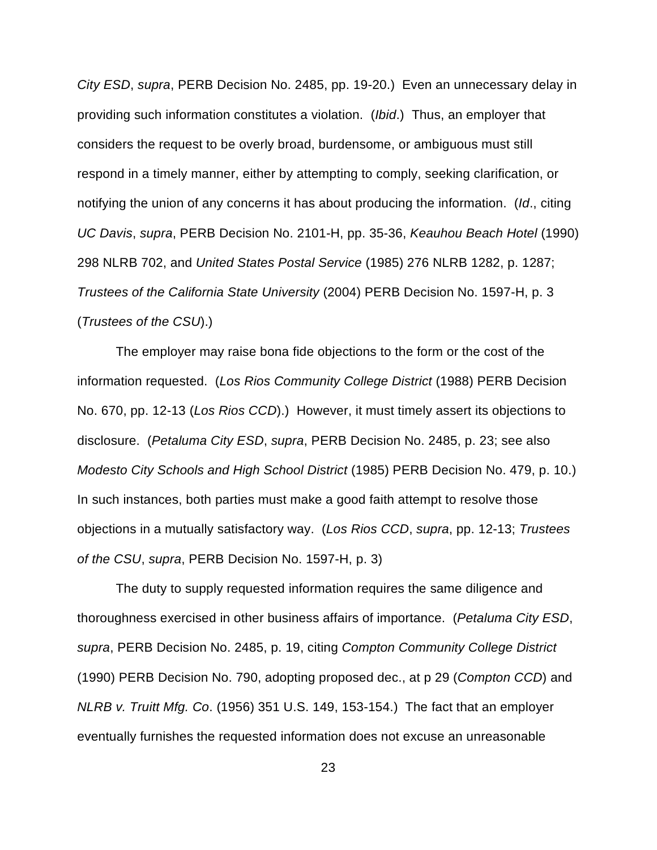*City ESD*, *supra*, PERB Decision No. 2485, pp. 19-20.) Even an unnecessary delay in providing such information constitutes a violation. (*Ibid*.) Thus, an employer that considers the request to be overly broad, burdensome, or ambiguous must still respond in a timely manner, either by attempting to comply, seeking clarification, or notifying the union of any concerns it has about producing the information. (*Id*., citing *UC Davis*, *supra*, PERB Decision No. 2101-H, pp. 35-36, *Keauhou Beach Hotel* (1990) 298 NLRB 702, and *United States Postal Service* (1985) 276 NLRB 1282, p. 1287; *Trustees of the California State University* (2004) PERB Decision No. 1597-H, p. 3 (*Trustees of the CSU*).)

The employer may raise bona fide objections to the form or the cost of the information requested. (*Los Rios Community College District* (1988) PERB Decision No. 670, pp. 12-13 (*Los Rios CCD*).) However, it must timely assert its objections to disclosure. (*Petaluma City ESD*, *supra*, PERB Decision No. 2485, p. 23; see also *Modesto City Schools and High School District* (1985) PERB Decision No. 479, p. 10.) In such instances, both parties must make a good faith attempt to resolve those objections in a mutually satisfactory way. (*Los Rios CCD*, *supra*, pp. 12-13; *Trustees of the CSU*, *supra*, PERB Decision No. 1597-H, p. 3)

The duty to supply requested information requires the same diligence and thoroughness exercised in other business affairs of importance. (*Petaluma City ESD*, *supra*, PERB Decision No. 2485, p. 19, citing *Compton Community College District* (1990) PERB Decision No. 790, adopting proposed dec., at p 29 (*Compton CCD*) and *NLRB v. Truitt Mfg. Co*. (1956) 351 U.S. 149, 153-154.) The fact that an employer eventually furnishes the requested information does not excuse an unreasonable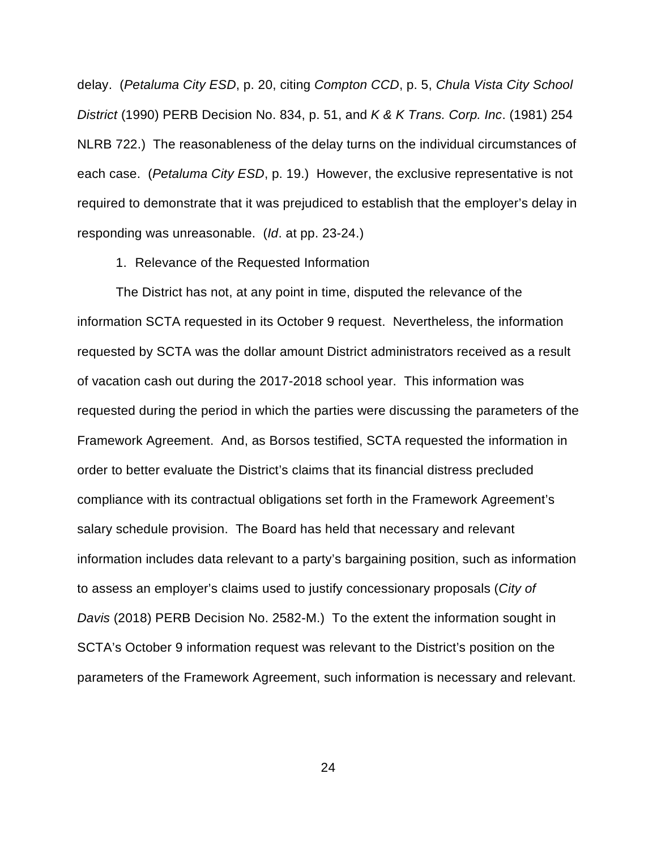delay. (*Petaluma City ESD*, p. 20, citing *Compton CCD*, p. 5, *Chula Vista City School District* (1990) PERB Decision No. 834, p. 51, and *K & K Trans. Corp. Inc*. (1981) 254 NLRB 722.) The reasonableness of the delay turns on the individual circumstances of each case. (*Petaluma City ESD*, p. 19.) However, the exclusive representative is not required to demonstrate that it was prejudiced to establish that the employer's delay in responding was unreasonable. (*Id*. at pp. 23-24.)

1. Relevance of the Requested Information

The District has not, at any point in time, disputed the relevance of the information SCTA requested in its October 9 request. Nevertheless, the information requested by SCTA was the dollar amount District administrators received as a result of vacation cash out during the 2017-2018 school year. This information was requested during the period in which the parties were discussing the parameters of the Framework Agreement. And, as Borsos testified, SCTA requested the information in order to better evaluate the District's claims that its financial distress precluded compliance with its contractual obligations set forth in the Framework Agreement's salary schedule provision. The Board has held that necessary and relevant information includes data relevant to a party's bargaining position, such as information to assess an employer's claims used to justify concessionary proposals (*City of Davis* (2018) PERB Decision No. 2582-M.) To the extent the information sought in SCTA's October 9 information request was relevant to the District's position on the parameters of the Framework Agreement, such information is necessary and relevant.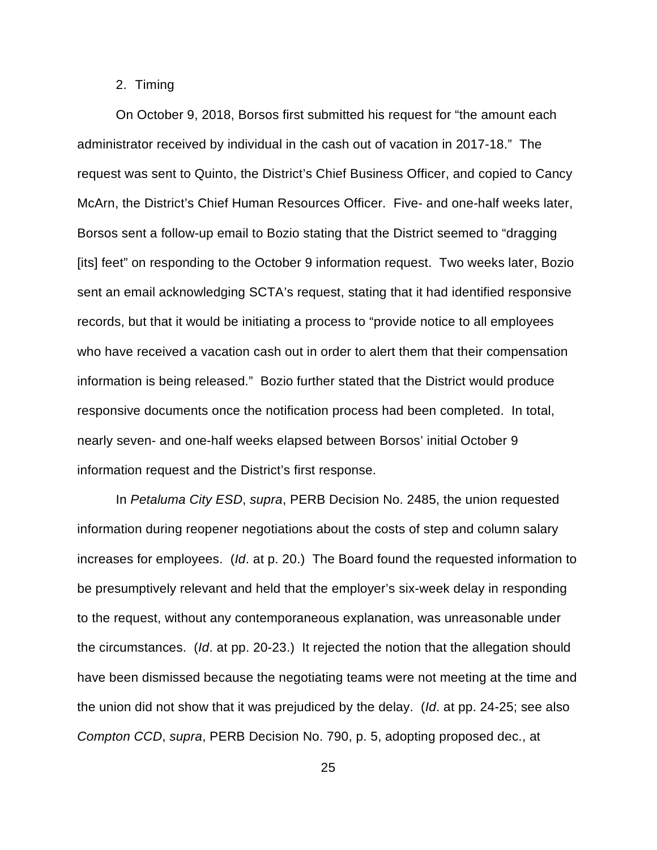# 2. Timing

On October 9, 2018, Borsos first submitted his request for "the amount each administrator received by individual in the cash out of vacation in 2017-18." The request was sent to Quinto, the District's Chief Business Officer, and copied to Cancy McArn, the District's Chief Human Resources Officer. Five- and one-half weeks later, Borsos sent a follow-up email to Bozio stating that the District seemed to "dragging [its] feet" on responding to the October 9 information request. Two weeks later, Bozio sent an email acknowledging SCTA's request, stating that it had identified responsive records, but that it would be initiating a process to "provide notice to all employees who have received a vacation cash out in order to alert them that their compensation information is being released." Bozio further stated that the District would produce responsive documents once the notification process had been completed. In total, nearly seven- and one-half weeks elapsed between Borsos' initial October 9 information request and the District's first response.

In *Petaluma City ESD*, *supra*, PERB Decision No. 2485, the union requested information during reopener negotiations about the costs of step and column salary increases for employees. (*Id*. at p. 20.) The Board found the requested information to be presumptively relevant and held that the employer's six-week delay in responding to the request, without any contemporaneous explanation, was unreasonable under the circumstances. (*Id*. at pp. 20-23.) It rejected the notion that the allegation should have been dismissed because the negotiating teams were not meeting at the time and the union did not show that it was prejudiced by the delay. (*Id*. at pp. 24-25; see also *Compton CCD*, *supra*, PERB Decision No. 790, p. 5, adopting proposed dec., at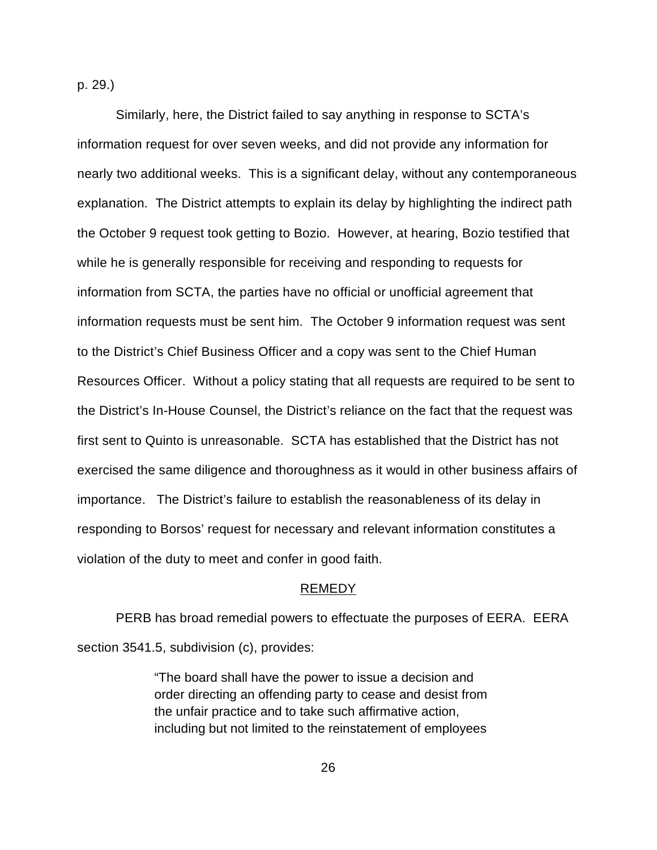p. 29.)

Similarly, here, the District failed to say anything in response to SCTA's information request for over seven weeks, and did not provide any information for nearly two additional weeks. This is a significant delay, without any contemporaneous explanation. The District attempts to explain its delay by highlighting the indirect path the October 9 request took getting to Bozio. However, at hearing, Bozio testified that while he is generally responsible for receiving and responding to requests for information from SCTA, the parties have no official or unofficial agreement that information requests must be sent him. The October 9 information request was sent to the District's Chief Business Officer and a copy was sent to the Chief Human Resources Officer. Without a policy stating that all requests are required to be sent to the District's In-House Counsel, the District's reliance on the fact that the request was first sent to Quinto is unreasonable. SCTA has established that the District has not exercised the same diligence and thoroughness as it would in other business affairs of importance. The District's failure to establish the reasonableness of its delay in responding to Borsos' request for necessary and relevant information constitutes a violation of the duty to meet and confer in good faith.

#### REMEDY

PERB has broad remedial powers to effectuate the purposes of EERA. EERA section 3541.5, subdivision (c), provides:

> "The board shall have the power to issue a decision and order directing an offending party to cease and desist from the unfair practice and to take such affirmative action, including but not limited to the reinstatement of employees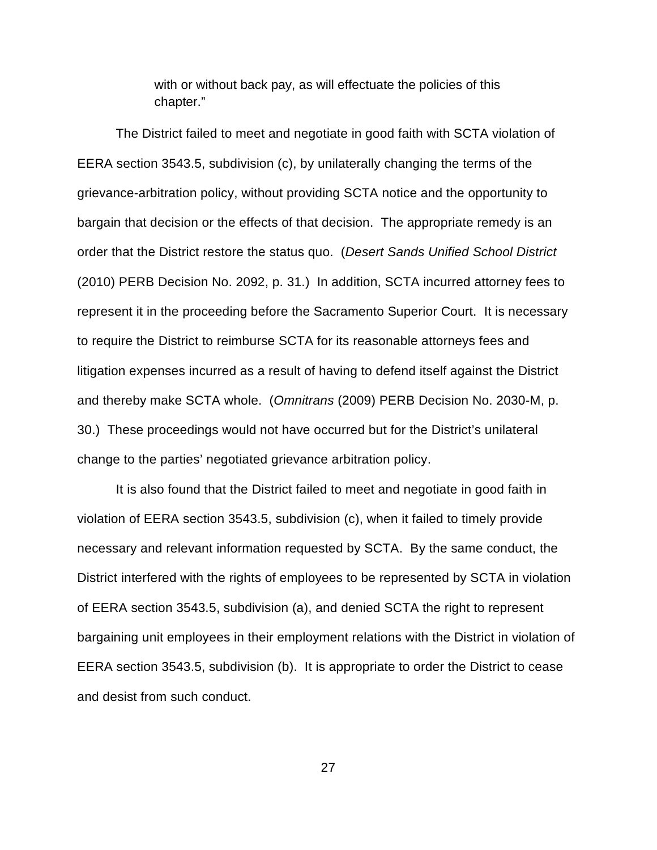with or without back pay, as will effectuate the policies of this chapter."

The District failed to meet and negotiate in good faith with SCTA violation of EERA section 3543.5, subdivision (c), by unilaterally changing the terms of the grievance-arbitration policy, without providing SCTA notice and the opportunity to bargain that decision or the effects of that decision. The appropriate remedy is an order that the District restore the status quo. (*Desert Sands Unified School District* (2010) PERB Decision No. 2092, p. 31.) In addition, SCTA incurred attorney fees to represent it in the proceeding before the Sacramento Superior Court. It is necessary to require the District to reimburse SCTA for its reasonable attorneys fees and litigation expenses incurred as a result of having to defend itself against the District and thereby make SCTA whole. (*Omnitrans* (2009) PERB Decision No. 2030-M, p. 30.) These proceedings would not have occurred but for the District's unilateral change to the parties' negotiated grievance arbitration policy.

It is also found that the District failed to meet and negotiate in good faith in violation of EERA section 3543.5, subdivision (c), when it failed to timely provide necessary and relevant information requested by SCTA. By the same conduct, the District interfered with the rights of employees to be represented by SCTA in violation of EERA section 3543.5, subdivision (a), and denied SCTA the right to represent bargaining unit employees in their employment relations with the District in violation of EERA section 3543.5, subdivision (b). It is appropriate to order the District to cease and desist from such conduct.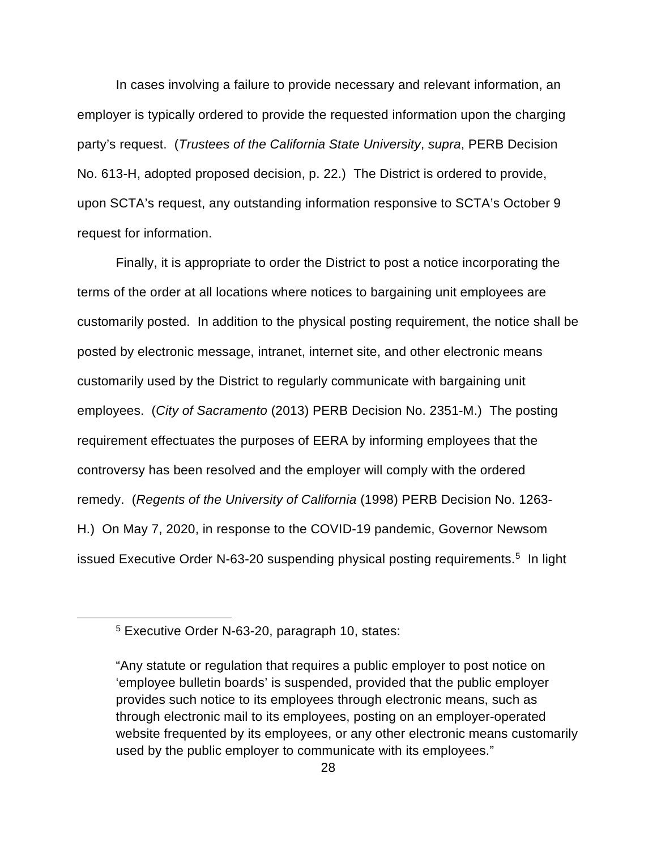In cases involving a failure to provide necessary and relevant information, an employer is typically ordered to provide the requested information upon the charging party's request. (*Trustees of the California State University*, *supra*, PERB Decision No. 613-H, adopted proposed decision, p. 22.) The District is ordered to provide, upon SCTA's request, any outstanding information responsive to SCTA's October 9 request for information.

Finally, it is appropriate to order the District to post a notice incorporating the terms of the order at all locations where notices to bargaining unit employees are customarily posted. In addition to the physical posting requirement, the notice shall be posted by electronic message, intranet, internet site, and other electronic means customarily used by the District to regularly communicate with bargaining unit employees. (*City of Sacramento* (2013) PERB Decision No. 2351-M.) The posting requirement effectuates the purposes of EERA by informing employees that the controversy has been resolved and the employer will comply with the ordered remedy. (*Regents of the University of California* (1998) PERB Decision No. 1263- H.) On May 7, 2020, in response to the COVID-19 pandemic, Governor Newsom issued Executive Order N-63-20 suspending physical posting requirements.<sup>[5](#page-52-0)</sup> In light

<span id="page-52-0"></span><sup>5</sup> Executive Order N-63-20, paragraph 10, states:

<sup>&</sup>quot;Any statute or regulation that requires a public employer to post notice on 'employee bulletin boards' is suspended, provided that the public employer provides such notice to its employees through electronic means, such as through electronic mail to its employees, posting on an employer-operated website frequented by its employees, or any other electronic means customarily used by the public employer to communicate with its employees."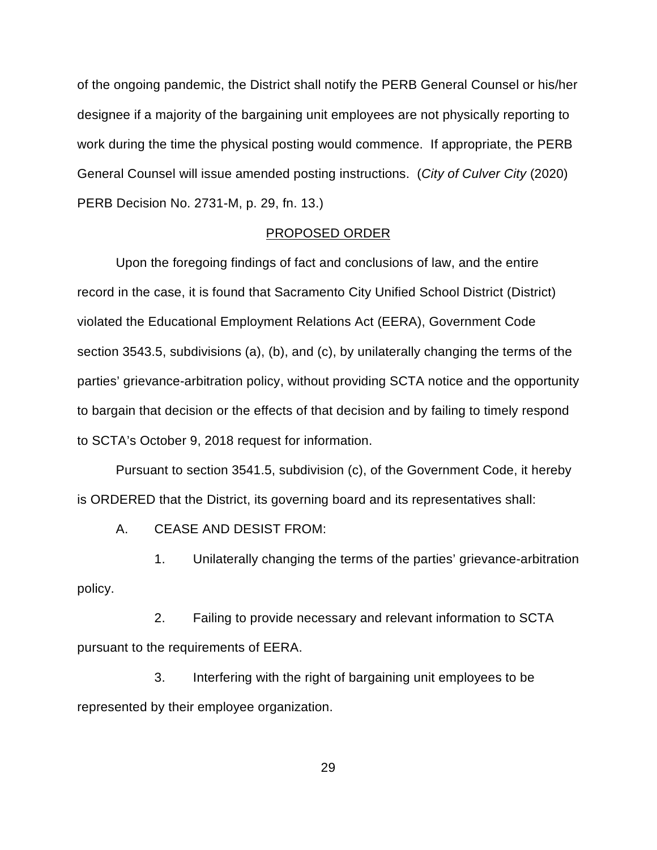of the ongoing pandemic, the District shall notify the PERB General Counsel or his/her designee if a majority of the bargaining unit employees are not physically reporting to work during the time the physical posting would commence. If appropriate, the PERB General Counsel will issue amended posting instructions. (*City of Culver City* (2020) PERB Decision No. 2731-M, p. 29, fn. 13.)

# PROPOSED ORDER

Upon the foregoing findings of fact and conclusions of law, and the entire record in the case, it is found that Sacramento City Unified School District (District) violated the Educational Employment Relations Act (EERA), Government Code section 3543.5, subdivisions (a), (b), and (c), by unilaterally changing the terms of the parties' grievance-arbitration policy, without providing SCTA notice and the opportunity to bargain that decision or the effects of that decision and by failing to timely respond to SCTA's October 9, 2018 request for information.

Pursuant to section 3541.5, subdivision (c), of the Government Code, it hereby is ORDERED that the District, its governing board and its representatives shall:

A. CEASE AND DESIST FROM:

1. Unilaterally changing the terms of the parties' grievance-arbitration policy.

2. Failing to provide necessary and relevant information to SCTA pursuant to the requirements of EERA.

3. Interfering with the right of bargaining unit employees to be represented by their employee organization.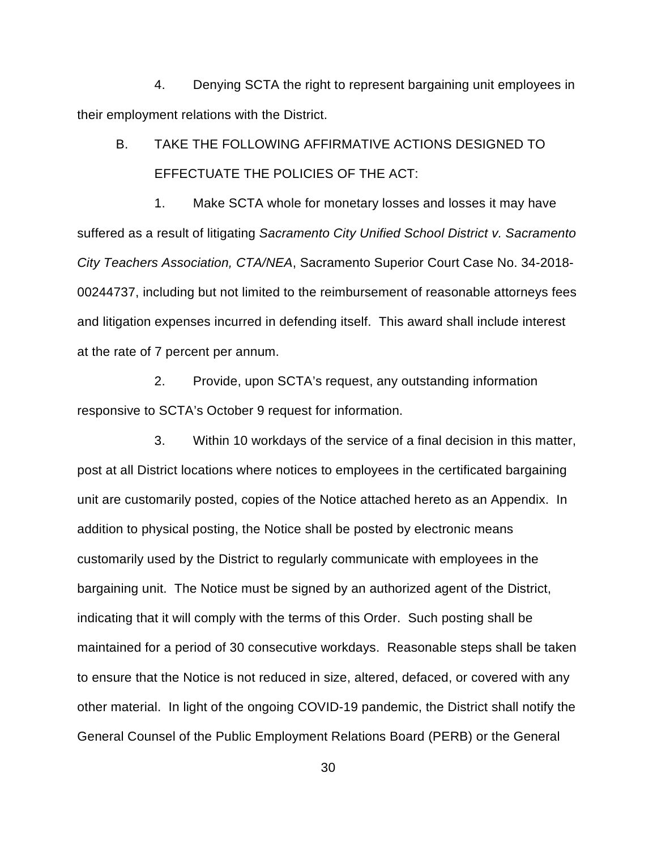4. Denying SCTA the right to represent bargaining unit employees in their employment relations with the District.

# B. TAKE THE FOLLOWING AFFIRMATIVE ACTIONS DESIGNED TO EFFECTUATE THE POLICIES OF THE ACT:

1. Make SCTA whole for monetary losses and losses it may have suffered as a result of litigating *Sacramento City Unified School District v. Sacramento City Teachers Association, CTA/NEA*, Sacramento Superior Court Case No. 34-2018- 00244737, including but not limited to the reimbursement of reasonable attorneys fees and litigation expenses incurred in defending itself. This award shall include interest at the rate of 7 percent per annum.

2. Provide, upon SCTA's request, any outstanding information responsive to SCTA's October 9 request for information.

3. Within 10 workdays of the service of a final decision in this matter, post at all District locations where notices to employees in the certificated bargaining unit are customarily posted, copies of the Notice attached hereto as an Appendix. In addition to physical posting, the Notice shall be posted by electronic means customarily used by the District to regularly communicate with employees in the bargaining unit. The Notice must be signed by an authorized agent of the District, indicating that it will comply with the terms of this Order. Such posting shall be maintained for a period of 30 consecutive workdays. Reasonable steps shall be taken to ensure that the Notice is not reduced in size, altered, defaced, or covered with any other material. In light of the ongoing COVID-19 pandemic, the District shall notify the General Counsel of the Public Employment Relations Board (PERB) or the General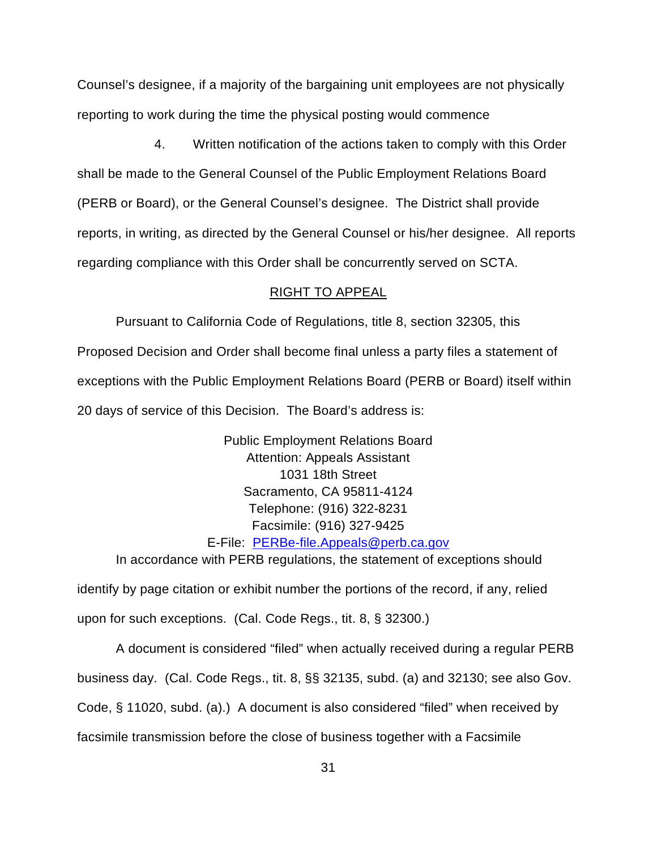Counsel's designee, if a majority of the bargaining unit employees are not physically reporting to work during the time the physical posting would commence

4. Written notification of the actions taken to comply with this Order shall be made to the General Counsel of the Public Employment Relations Board (PERB or Board), or the General Counsel's designee. The District shall provide reports, in writing, as directed by the General Counsel or his/her designee. All reports regarding compliance with this Order shall be concurrently served on SCTA.

# RIGHT TO APPEAL

Pursuant to California Code of Regulations, title 8, section 32305, this Proposed Decision and Order shall become final unless a party files a statement of

exceptions with the Public Employment Relations Board (PERB or Board) itself within

20 days of service of this Decision. The Board's address is:

Public Employment Relations Board Attention: Appeals Assistant 1031 18th Street Sacramento, CA 95811-4124 Telephone: (916) 322-8231 Facsimile: (916) 327-9425 E-File: [PERBe-file.Appeals@perb.ca.gov](mailto:PERBe-file.Appeals@perb.ca.gov)

In accordance with PERB regulations, the statement of exceptions should

identify by page citation or exhibit number the portions of the record, if any, relied upon for such exceptions. (Cal. Code Regs., tit. 8, § 32300.)

A document is considered "filed" when actually received during a regular PERB business day. (Cal. Code Regs., tit. 8, §§ 32135, subd. (a) and 32130; see also Gov. Code, § 11020, subd. (a).) A document is also considered "filed" when received by facsimile transmission before the close of business together with a Facsimile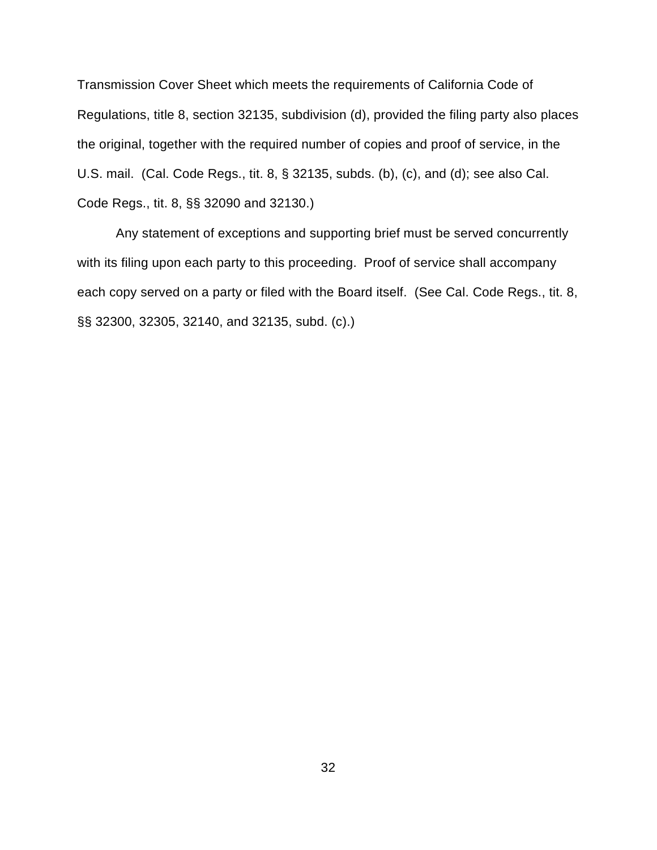Transmission Cover Sheet which meets the requirements of California Code of Regulations, title 8, section 32135, subdivision (d), provided the filing party also places the original, together with the required number of copies and proof of service, in the U.S. mail. (Cal. Code Regs., tit. 8, § 32135, subds. (b), (c), and (d); see also Cal. Code Regs., tit. 8, §§ 32090 and 32130.)

Any statement of exceptions and supporting brief must be served concurrently with its filing upon each party to this proceeding. Proof of service shall accompany each copy served on a party or filed with the Board itself. (See Cal. Code Regs., tit. 8, §§ 32300, 32305, 32140, and 32135, subd. (c).)